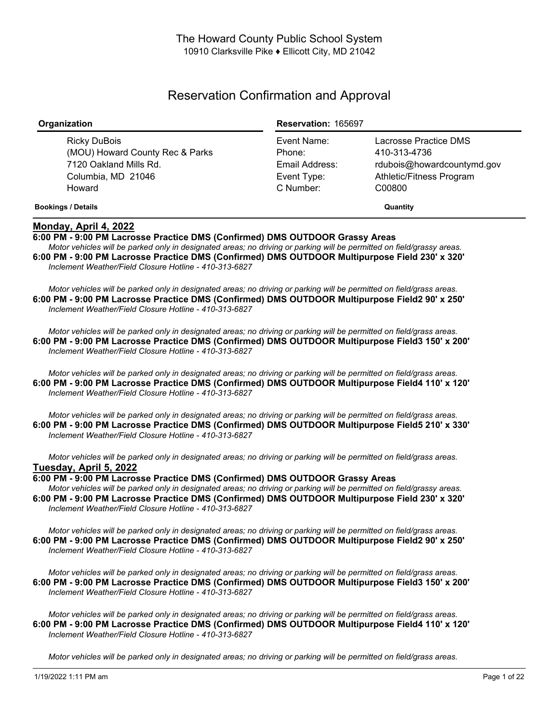# Reservation Confirmation and Approval

| Organization                                                                                              | <b>Reservation: 165697</b>                                          |                                                                                                           |
|-----------------------------------------------------------------------------------------------------------|---------------------------------------------------------------------|-----------------------------------------------------------------------------------------------------------|
| Ricky DuBois<br>(MOU) Howard County Rec & Parks<br>7120 Oakland Mills Rd.<br>Columbia, MD 21046<br>Howard | Event Name:<br>Phone:<br>Email Address:<br>Event Type:<br>C Number: | Lacrosse Practice DMS<br>410-313-4736<br>rdubois@howardcountymd.gov<br>Athletic/Fitness Program<br>C00800 |
| <b>Bookings / Details</b>                                                                                 |                                                                     | Quantity                                                                                                  |

## **Monday, April 4, 2022**

**6:00 PM - 9:00 PM Lacrosse Practice DMS (Confirmed) DMS OUTDOOR Grassy Areas**

Motor vehicles will be parked only in designated areas; no driving or parking will be permitted on field/grassy areas. **6:00 PM - 9:00 PM Lacrosse Practice DMS (Confirmed) DMS OUTDOOR Multipurpose Field 230' x 320'** *Inclement Weather/Field Closure Hotline - 410-313-6827*

Motor vehicles will be parked only in designated areas; no driving or parking will be permitted on field/grass areas. **6:00 PM - 9:00 PM Lacrosse Practice DMS (Confirmed) DMS OUTDOOR Multipurpose Field2 90' x 250'** *Inclement Weather/Field Closure Hotline - 410-313-6827*

Motor vehicles will be parked only in designated areas; no driving or parking will be permitted on field/grass areas. **6:00 PM - 9:00 PM Lacrosse Practice DMS (Confirmed) DMS OUTDOOR Multipurpose Field3 150' x 200'** *Inclement Weather/Field Closure Hotline - 410-313-6827*

Motor vehicles will be parked only in designated areas: no driving or parking will be permitted on field/grass areas. **6:00 PM - 9:00 PM Lacrosse Practice DMS (Confirmed) DMS OUTDOOR Multipurpose Field4 110' x 120'** *Inclement Weather/Field Closure Hotline - 410-313-6827*

Motor vehicles will be parked only in designated areas; no driving or parking will be permitted on field/grass areas. **6:00 PM - 9:00 PM Lacrosse Practice DMS (Confirmed) DMS OUTDOOR Multipurpose Field5 210' x 330'** *Inclement Weather/Field Closure Hotline - 410-313-6827*

Motor vehicles will be parked only in designated areas; no driving or parking will be permitted on field/grass areas. **Tuesday, April 5, 2022**

**6:00 PM - 9:00 PM Lacrosse Practice DMS (Confirmed) DMS OUTDOOR Grassy Areas**

Motor vehicles will be parked only in designated areas: no driving or parking will be permitted on field/grassy areas. **6:00 PM - 9:00 PM Lacrosse Practice DMS (Confirmed) DMS OUTDOOR Multipurpose Field 230' x 320'** *Inclement Weather/Field Closure Hotline - 410-313-6827*

Motor vehicles will be parked only in designated areas; no driving or parking will be permitted on field/grass areas. **6:00 PM - 9:00 PM Lacrosse Practice DMS (Confirmed) DMS OUTDOOR Multipurpose Field2 90' x 250'** *Inclement Weather/Field Closure Hotline - 410-313-6827*

Motor vehicles will be parked only in designated areas; no driving or parking will be permitted on field/grass areas. **6:00 PM - 9:00 PM Lacrosse Practice DMS (Confirmed) DMS OUTDOOR Multipurpose Field3 150' x 200'** *Inclement Weather/Field Closure Hotline - 410-313-6827*

Motor vehicles will be parked only in designated areas; no driving or parking will be permitted on field/grass areas. **6:00 PM - 9:00 PM Lacrosse Practice DMS (Confirmed) DMS OUTDOOR Multipurpose Field4 110' x 120'** *Inclement Weather/Field Closure Hotline - 410-313-6827*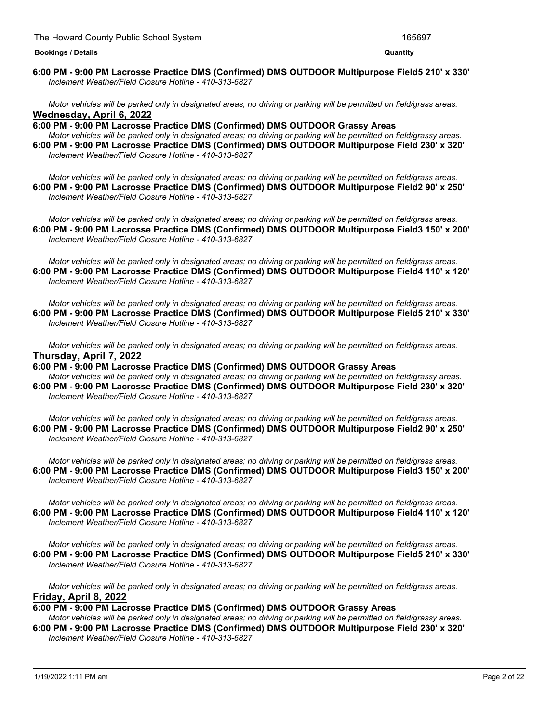#### <u> 1989 - Andrea Andrew Maria (h. 1989).</u> **6:00 PM - 9:00 PM Lacrosse Practice DMS (Confirmed) DMS OUTDOOR Multipurpose Field5 210' x 330'** *Inclement Weather/Field Closure Hotline - 410-313-6827*

Motor vehicles will be parked only in designated areas; no driving or parking will be permitted on field/grass areas. **Wednesday, April 6, 2022**

**6:00 PM - 9:00 PM Lacrosse Practice DMS (Confirmed) DMS OUTDOOR Grassy Areas** Motor vehicles will be parked only in designated areas; no driving or parking will be permitted on field/grassy areas. **6:00 PM - 9:00 PM Lacrosse Practice DMS (Confirmed) DMS OUTDOOR Multipurpose Field 230' x 320'** *Inclement Weather/Field Closure Hotline - 410-313-6827*

Motor vehicles will be parked only in designated areas; no driving or parking will be permitted on field/grass areas. **6:00 PM - 9:00 PM Lacrosse Practice DMS (Confirmed) DMS OUTDOOR Multipurpose Field2 90' x 250'** *Inclement Weather/Field Closure Hotline - 410-313-6827*

Motor vehicles will be parked only in designated areas; no driving or parking will be permitted on field/grass areas. **6:00 PM - 9:00 PM Lacrosse Practice DMS (Confirmed) DMS OUTDOOR Multipurpose Field3 150' x 200'** *Inclement Weather/Field Closure Hotline - 410-313-6827*

Motor vehicles will be parked only in designated areas; no driving or parking will be permitted on field/grass areas. **6:00 PM - 9:00 PM Lacrosse Practice DMS (Confirmed) DMS OUTDOOR Multipurpose Field4 110' x 120'** *Inclement Weather/Field Closure Hotline - 410-313-6827*

Motor vehicles will be parked only in designated areas: no driving or parking will be permitted on field/grass areas. **6:00 PM - 9:00 PM Lacrosse Practice DMS (Confirmed) DMS OUTDOOR Multipurpose Field5 210' x 330'** *Inclement Weather/Field Closure Hotline - 410-313-6827*

Motor vehicles will be parked only in designated areas; no driving or parking will be permitted on field/grass areas. **Thursday, April 7, 2022**

**6:00 PM - 9:00 PM Lacrosse Practice DMS (Confirmed) DMS OUTDOOR Grassy Areas** Motor vehicles will be parked only in designated areas; no driving or parking will be permitted on field/grassy areas.

**6:00 PM - 9:00 PM Lacrosse Practice DMS (Confirmed) DMS OUTDOOR Multipurpose Field 230' x 320'** *Inclement Weather/Field Closure Hotline - 410-313-6827*

Motor vehicles will be parked only in designated areas; no driving or parking will be permitted on field/grass areas. **6:00 PM - 9:00 PM Lacrosse Practice DMS (Confirmed) DMS OUTDOOR Multipurpose Field2 90' x 250'** *Inclement Weather/Field Closure Hotline - 410-313-6827*

Motor vehicles will be parked only in designated areas; no driving or parking will be permitted on field/grass areas. **6:00 PM - 9:00 PM Lacrosse Practice DMS (Confirmed) DMS OUTDOOR Multipurpose Field3 150' x 200'** *Inclement Weather/Field Closure Hotline - 410-313-6827*

Motor vehicles will be parked only in designated areas; no driving or parking will be permitted on field/grass areas. **6:00 PM - 9:00 PM Lacrosse Practice DMS (Confirmed) DMS OUTDOOR Multipurpose Field4 110' x 120'** *Inclement Weather/Field Closure Hotline - 410-313-6827*

Motor vehicles will be parked only in designated areas; no driving or parking will be permitted on field/grass areas. **6:00 PM - 9:00 PM Lacrosse Practice DMS (Confirmed) DMS OUTDOOR Multipurpose Field5 210' x 330'** *Inclement Weather/Field Closure Hotline - 410-313-6827*

Motor vehicles will be parked only in designated areas; no driving or parking will be permitted on field/grass areas. **Friday, April 8, 2022**

## **6:00 PM - 9:00 PM Lacrosse Practice DMS (Confirmed) DMS OUTDOOR Grassy Areas**

Motor vehicles will be parked only in designated areas; no driving or parking will be permitted on field/grassy areas. **6:00 PM - 9:00 PM Lacrosse Practice DMS (Confirmed) DMS OUTDOOR Multipurpose Field 230' x 320'** *Inclement Weather/Field Closure Hotline - 410-313-6827*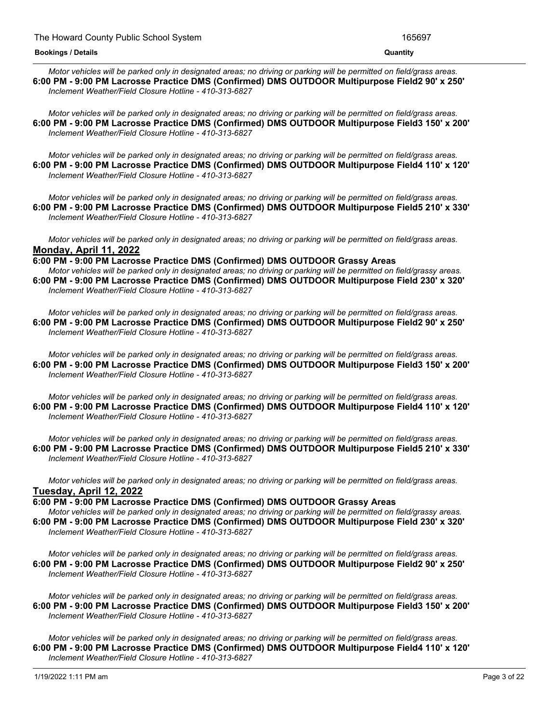Motor vehicles will be parked only in designated areas; no driving or parking will be permitted on field/grass areas. **6:00 PM - 9:00 PM Lacrosse Practice DMS (Confirmed) DMS OUTDOOR Multipurpose Field2 90' x 250'** *Inclement Weather/Field Closure Hotline - 410-313-6827*

Motor vehicles will be parked only in designated areas: no driving or parking will be permitted on field/grass areas. **6:00 PM - 9:00 PM Lacrosse Practice DMS (Confirmed) DMS OUTDOOR Multipurpose Field3 150' x 200'** *Inclement Weather/Field Closure Hotline - 410-313-6827*

Motor vehicles will be parked only in designated areas; no driving or parking will be permitted on field/grass areas. **6:00 PM - 9:00 PM Lacrosse Practice DMS (Confirmed) DMS OUTDOOR Multipurpose Field4 110' x 120'** *Inclement Weather/Field Closure Hotline - 410-313-6827*

Motor vehicles will be parked only in designated areas: no driving or parking will be permitted on field/grass areas. **6:00 PM - 9:00 PM Lacrosse Practice DMS (Confirmed) DMS OUTDOOR Multipurpose Field5 210' x 330'** *Inclement Weather/Field Closure Hotline - 410-313-6827*

Motor vehicles will be parked only in designated areas; no driving or parking will be permitted on field/grass areas. **Monday, April 11, 2022**

**6:00 PM - 9:00 PM Lacrosse Practice DMS (Confirmed) DMS OUTDOOR Grassy Areas** Motor vehicles will be parked only in designated areas; no driving or parking will be permitted on field/grassy areas. **6:00 PM - 9:00 PM Lacrosse Practice DMS (Confirmed) DMS OUTDOOR Multipurpose Field 230' x 320'** *Inclement Weather/Field Closure Hotline - 410-313-6827*

Motor vehicles will be parked only in designated areas; no driving or parking will be permitted on field/grass areas. **6:00 PM - 9:00 PM Lacrosse Practice DMS (Confirmed) DMS OUTDOOR Multipurpose Field2 90' x 250'** *Inclement Weather/Field Closure Hotline - 410-313-6827*

Motor vehicles will be parked only in designated areas; no driving or parking will be permitted on field/grass areas. **6:00 PM - 9:00 PM Lacrosse Practice DMS (Confirmed) DMS OUTDOOR Multipurpose Field3 150' x 200'** *Inclement Weather/Field Closure Hotline - 410-313-6827*

Motor vehicles will be parked only in designated areas; no driving or parking will be permitted on field/grass areas. **6:00 PM - 9:00 PM Lacrosse Practice DMS (Confirmed) DMS OUTDOOR Multipurpose Field4 110' x 120'** *Inclement Weather/Field Closure Hotline - 410-313-6827*

Motor vehicles will be parked only in designated areas; no driving or parking will be permitted on field/grass areas. **6:00 PM - 9:00 PM Lacrosse Practice DMS (Confirmed) DMS OUTDOOR Multipurpose Field5 210' x 330'** *Inclement Weather/Field Closure Hotline - 410-313-6827*

Motor vehicles will be parked only in designated areas; no driving or parking will be permitted on field/grass areas. **Tuesday, April 12, 2022**

**6:00 PM - 9:00 PM Lacrosse Practice DMS (Confirmed) DMS OUTDOOR Grassy Areas** Motor vehicles will be parked only in designated areas; no driving or parking will be permitted on field/grassy areas. **6:00 PM - 9:00 PM Lacrosse Practice DMS (Confirmed) DMS OUTDOOR Multipurpose Field 230' x 320'** *Inclement Weather/Field Closure Hotline - 410-313-6827*

Motor vehicles will be parked only in designated areas; no driving or parking will be permitted on field/grass areas. **6:00 PM - 9:00 PM Lacrosse Practice DMS (Confirmed) DMS OUTDOOR Multipurpose Field2 90' x 250'** *Inclement Weather/Field Closure Hotline - 410-313-6827*

Motor vehicles will be parked only in designated areas; no driving or parking will be permitted on field/grass areas. **6:00 PM - 9:00 PM Lacrosse Practice DMS (Confirmed) DMS OUTDOOR Multipurpose Field3 150' x 200'** *Inclement Weather/Field Closure Hotline - 410-313-6827*

Motor vehicles will be parked only in designated areas; no driving or parking will be permitted on field/grass areas. **6:00 PM - 9:00 PM Lacrosse Practice DMS (Confirmed) DMS OUTDOOR Multipurpose Field4 110' x 120'** *Inclement Weather/Field Closure Hotline - 410-313-6827*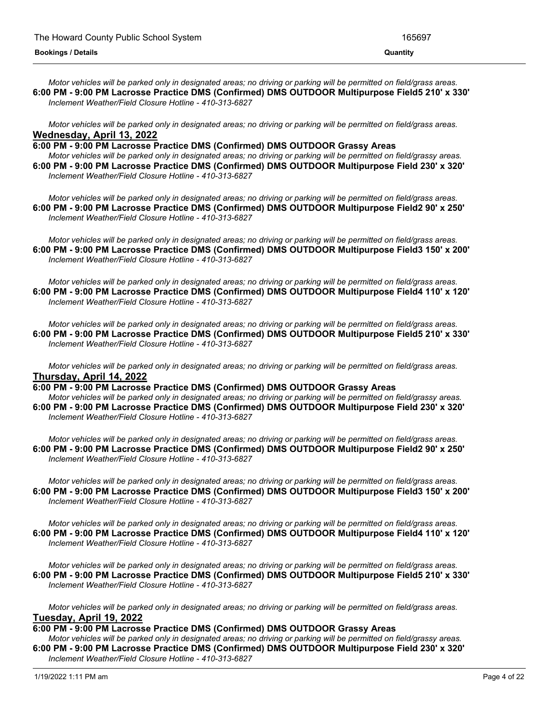Motor vehicles will be parked only in designated areas; no driving or parking will be permitted on field/grass areas. **6:00 PM - 9:00 PM Lacrosse Practice DMS (Confirmed) DMS OUTDOOR Multipurpose Field5 210' x 330'** *Inclement Weather/Field Closure Hotline - 410-313-6827*

Motor vehicles will be parked only in designated areas; no driving or parking will be permitted on field/grass areas. **Wednesday, April 13, 2022**

**6:00 PM - 9:00 PM Lacrosse Practice DMS (Confirmed) DMS OUTDOOR Grassy Areas**

Motor vehicles will be parked only in designated areas; no driving or parking will be permitted on field/grassy areas. **6:00 PM - 9:00 PM Lacrosse Practice DMS (Confirmed) DMS OUTDOOR Multipurpose Field 230' x 320'** *Inclement Weather/Field Closure Hotline - 410-313-6827*

Motor vehicles will be parked only in designated areas; no driving or parking will be permitted on field/grass areas. **6:00 PM - 9:00 PM Lacrosse Practice DMS (Confirmed) DMS OUTDOOR Multipurpose Field2 90' x 250'** *Inclement Weather/Field Closure Hotline - 410-313-6827*

Motor vehicles will be parked only in designated areas; no driving or parking will be permitted on field/grass areas. **6:00 PM - 9:00 PM Lacrosse Practice DMS (Confirmed) DMS OUTDOOR Multipurpose Field3 150' x 200'** *Inclement Weather/Field Closure Hotline - 410-313-6827*

Motor vehicles will be parked only in designated areas; no driving or parking will be permitted on field/grass areas. **6:00 PM - 9:00 PM Lacrosse Practice DMS (Confirmed) DMS OUTDOOR Multipurpose Field4 110' x 120'** *Inclement Weather/Field Closure Hotline - 410-313-6827*

Motor vehicles will be parked only in designated areas; no driving or parking will be permitted on field/grass areas. **6:00 PM - 9:00 PM Lacrosse Practice DMS (Confirmed) DMS OUTDOOR Multipurpose Field5 210' x 330'** *Inclement Weather/Field Closure Hotline - 410-313-6827*

Motor vehicles will be parked only in designated areas; no driving or parking will be permitted on field/grass areas. **Thursday, April 14, 2022**

**6:00 PM - 9:00 PM Lacrosse Practice DMS (Confirmed) DMS OUTDOOR Grassy Areas**

Motor vehicles will be parked only in designated areas; no driving or parking will be permitted on field/grassy areas. **6:00 PM - 9:00 PM Lacrosse Practice DMS (Confirmed) DMS OUTDOOR Multipurpose Field 230' x 320'** *Inclement Weather/Field Closure Hotline - 410-313-6827*

Motor vehicles will be parked only in designated areas; no driving or parking will be permitted on field/grass areas. **6:00 PM - 9:00 PM Lacrosse Practice DMS (Confirmed) DMS OUTDOOR Multipurpose Field2 90' x 250'** *Inclement Weather/Field Closure Hotline - 410-313-6827*

Motor vehicles will be parked only in designated areas; no driving or parking will be permitted on field/grass areas. **6:00 PM - 9:00 PM Lacrosse Practice DMS (Confirmed) DMS OUTDOOR Multipurpose Field3 150' x 200'** *Inclement Weather/Field Closure Hotline - 410-313-6827*

Motor vehicles will be parked only in designated areas; no driving or parking will be permitted on field/grass areas. **6:00 PM - 9:00 PM Lacrosse Practice DMS (Confirmed) DMS OUTDOOR Multipurpose Field4 110' x 120'** *Inclement Weather/Field Closure Hotline - 410-313-6827*

Motor vehicles will be parked only in designated areas; no driving or parking will be permitted on field/grass areas. **6:00 PM - 9:00 PM Lacrosse Practice DMS (Confirmed) DMS OUTDOOR Multipurpose Field5 210' x 330'** *Inclement Weather/Field Closure Hotline - 410-313-6827*

Motor vehicles will be parked only in designated areas; no driving or parking will be permitted on field/grass areas. **Tuesday, April 19, 2022**

## **6:00 PM - 9:00 PM Lacrosse Practice DMS (Confirmed) DMS OUTDOOR Grassy Areas**

Motor vehicles will be parked only in designated areas; no driving or parking will be permitted on field/grassy areas. **6:00 PM - 9:00 PM Lacrosse Practice DMS (Confirmed) DMS OUTDOOR Multipurpose Field 230' x 320'** *Inclement Weather/Field Closure Hotline - 410-313-6827*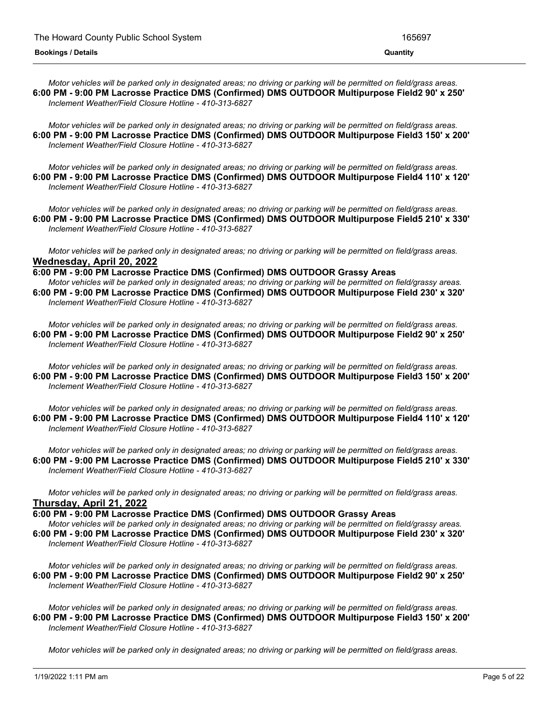Motor vehicles will be parked only in designated areas; no driving or parking will be permitted on field/grass areas. **6:00 PM - 9:00 PM Lacrosse Practice DMS (Confirmed) DMS OUTDOOR Multipurpose Field2 90' x 250'** *Inclement Weather/Field Closure Hotline - 410-313-6827*

Motor vehicles will be parked only in designated areas; no driving or parking will be permitted on field/grass areas. **6:00 PM - 9:00 PM Lacrosse Practice DMS (Confirmed) DMS OUTDOOR Multipurpose Field3 150' x 200'** *Inclement Weather/Field Closure Hotline - 410-313-6827*

Motor vehicles will be parked only in designated areas; no driving or parking will be permitted on field/grass areas. **6:00 PM - 9:00 PM Lacrosse Practice DMS (Confirmed) DMS OUTDOOR Multipurpose Field4 110' x 120'** *Inclement Weather/Field Closure Hotline - 410-313-6827*

Motor vehicles will be parked only in designated areas; no driving or parking will be permitted on field/grass areas. **6:00 PM - 9:00 PM Lacrosse Practice DMS (Confirmed) DMS OUTDOOR Multipurpose Field5 210' x 330'** *Inclement Weather/Field Closure Hotline - 410-313-6827*

Motor vehicles will be parked only in designated areas; no driving or parking will be permitted on field/grass areas. **Wednesday, April 20, 2022**

**6:00 PM - 9:00 PM Lacrosse Practice DMS (Confirmed) DMS OUTDOOR Grassy Areas** Motor vehicles will be parked only in designated areas; no driving or parking will be permitted on field/grassy areas. **6:00 PM - 9:00 PM Lacrosse Practice DMS (Confirmed) DMS OUTDOOR Multipurpose Field 230' x 320'** *Inclement Weather/Field Closure Hotline - 410-313-6827*

Motor vehicles will be parked only in designated areas; no driving or parking will be permitted on field/grass areas. **6:00 PM - 9:00 PM Lacrosse Practice DMS (Confirmed) DMS OUTDOOR Multipurpose Field2 90' x 250'** *Inclement Weather/Field Closure Hotline - 410-313-6827*

Motor vehicles will be parked only in designated areas; no driving or parking will be permitted on field/grass areas. **6:00 PM - 9:00 PM Lacrosse Practice DMS (Confirmed) DMS OUTDOOR Multipurpose Field3 150' x 200'** *Inclement Weather/Field Closure Hotline - 410-313-6827*

Motor vehicles will be parked only in designated areas; no driving or parking will be permitted on field/grass areas. **6:00 PM - 9:00 PM Lacrosse Practice DMS (Confirmed) DMS OUTDOOR Multipurpose Field4 110' x 120'** *Inclement Weather/Field Closure Hotline - 410-313-6827*

Motor vehicles will be parked only in designated areas; no driving or parking will be permitted on field/grass areas. **6:00 PM - 9:00 PM Lacrosse Practice DMS (Confirmed) DMS OUTDOOR Multipurpose Field5 210' x 330'** *Inclement Weather/Field Closure Hotline - 410-313-6827*

Motor vehicles will be parked only in designated areas; no driving or parking will be permitted on field/grass areas. **Thursday, April 21, 2022**

**6:00 PM - 9:00 PM Lacrosse Practice DMS (Confirmed) DMS OUTDOOR Grassy Areas** Motor vehicles will be parked only in designated areas; no driving or parking will be permitted on field/grassy areas. **6:00 PM - 9:00 PM Lacrosse Practice DMS (Confirmed) DMS OUTDOOR Multipurpose Field 230' x 320'** *Inclement Weather/Field Closure Hotline - 410-313-6827*

Motor vehicles will be parked only in designated areas; no driving or parking will be permitted on field/grass areas. **6:00 PM - 9:00 PM Lacrosse Practice DMS (Confirmed) DMS OUTDOOR Multipurpose Field2 90' x 250'** *Inclement Weather/Field Closure Hotline - 410-313-6827*

Motor vehicles will be parked only in designated areas; no driving or parking will be permitted on field/grass areas. **6:00 PM - 9:00 PM Lacrosse Practice DMS (Confirmed) DMS OUTDOOR Multipurpose Field3 150' x 200'** *Inclement Weather/Field Closure Hotline - 410-313-6827*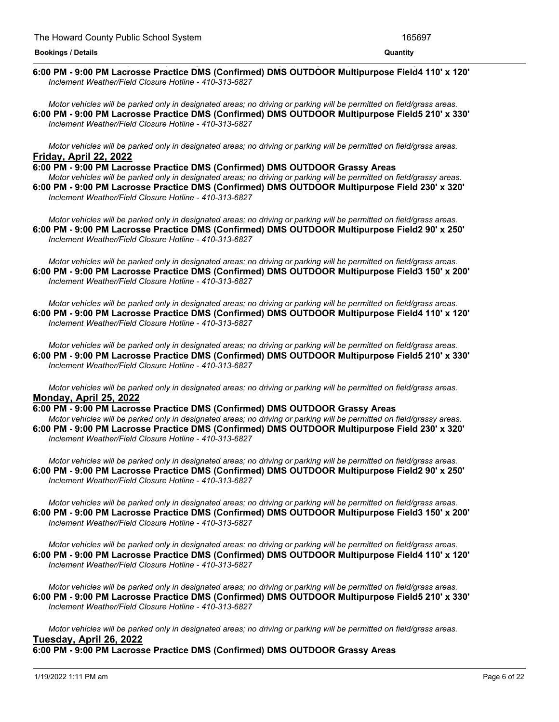#### <u> 1989 - Andrea Andrea Andrea Andrea Andrea Andrea Andrea Andrea Andrea Andrea Andrea Andrea Andrea Andrea And</u> **6:00 PM - 9:00 PM Lacrosse Practice DMS (Confirmed) DMS OUTDOOR Multipurpose Field4 110' x 120'** *Inclement Weather/Field Closure Hotline - 410-313-6827*

Motor vehicles will be parked only in designated areas; no driving or parking will be permitted on field/grass areas. **6:00 PM - 9:00 PM Lacrosse Practice DMS (Confirmed) DMS OUTDOOR Multipurpose Field5 210' x 330'** *Inclement Weather/Field Closure Hotline - 410-313-6827*

Motor vehicles will be parked only in designated areas; no driving or parking will be permitted on field/grass areas. **Friday, April 22, 2022**

**6:00 PM - 9:00 PM Lacrosse Practice DMS (Confirmed) DMS OUTDOOR Grassy Areas** Motor vehicles will be parked only in designated areas; no driving or parking will be permitted on field/grassy areas. **6:00 PM - 9:00 PM Lacrosse Practice DMS (Confirmed) DMS OUTDOOR Multipurpose Field 230' x 320'** *Inclement Weather/Field Closure Hotline - 410-313-6827*

Motor vehicles will be parked only in designated areas; no driving or parking will be permitted on field/grass areas. **6:00 PM - 9:00 PM Lacrosse Practice DMS (Confirmed) DMS OUTDOOR Multipurpose Field2 90' x 250'** *Inclement Weather/Field Closure Hotline - 410-313-6827*

Motor vehicles will be parked only in designated areas; no driving or parking will be permitted on field/grass areas. **6:00 PM - 9:00 PM Lacrosse Practice DMS (Confirmed) DMS OUTDOOR Multipurpose Field3 150' x 200'** *Inclement Weather/Field Closure Hotline - 410-313-6827*

Motor vehicles will be parked only in designated areas: no driving or parking will be permitted on field/grass areas. **6:00 PM - 9:00 PM Lacrosse Practice DMS (Confirmed) DMS OUTDOOR Multipurpose Field4 110' x 120'** *Inclement Weather/Field Closure Hotline - 410-313-6827*

Motor vehicles will be parked only in designated areas; no driving or parking will be permitted on field/grass areas. **6:00 PM - 9:00 PM Lacrosse Practice DMS (Confirmed) DMS OUTDOOR Multipurpose Field5 210' x 330'** *Inclement Weather/Field Closure Hotline - 410-313-6827*

Motor vehicles will be parked only in designated areas; no driving or parking will be permitted on field/grass areas. **Monday, April 25, 2022**

**6:00 PM - 9:00 PM Lacrosse Practice DMS (Confirmed) DMS OUTDOOR Grassy Areas** Motor vehicles will be parked only in designated areas: no driving or parking will be permitted on field/grassy areas. **6:00 PM - 9:00 PM Lacrosse Practice DMS (Confirmed) DMS OUTDOOR Multipurpose Field 230' x 320'** *Inclement Weather/Field Closure Hotline - 410-313-6827*

Motor vehicles will be parked only in designated areas; no driving or parking will be permitted on field/grass areas. **6:00 PM - 9:00 PM Lacrosse Practice DMS (Confirmed) DMS OUTDOOR Multipurpose Field2 90' x 250'** *Inclement Weather/Field Closure Hotline - 410-313-6827*

Motor vehicles will be parked only in designated areas; no driving or parking will be permitted on field/grass areas. **6:00 PM - 9:00 PM Lacrosse Practice DMS (Confirmed) DMS OUTDOOR Multipurpose Field3 150' x 200'** *Inclement Weather/Field Closure Hotline - 410-313-6827*

Motor vehicles will be parked only in designated areas; no driving or parking will be permitted on field/grass areas. **6:00 PM - 9:00 PM Lacrosse Practice DMS (Confirmed) DMS OUTDOOR Multipurpose Field4 110' x 120'** *Inclement Weather/Field Closure Hotline - 410-313-6827*

Motor vehicles will be parked only in designated areas; no driving or parking will be permitted on field/grass areas. **6:00 PM - 9:00 PM Lacrosse Practice DMS (Confirmed) DMS OUTDOOR Multipurpose Field5 210' x 330'** *Inclement Weather/Field Closure Hotline - 410-313-6827*

Motor vehicles will be parked only in designated areas; no driving or parking will be permitted on field/grass areas. **Tuesday, April 26, 2022**

**6:00 PM - 9:00 PM Lacrosse Practice DMS (Confirmed) DMS OUTDOOR Grassy Areas**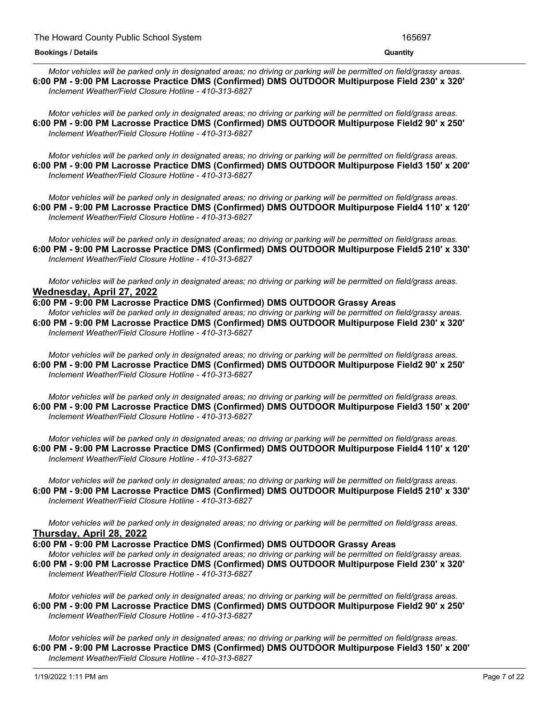#### **6:00 PM - 9:00 PM Lacrosse Practice DMS (Confirmed) DMS OUTDOOR Grassy Areas Bookings / Details Quantity**

Motor vehicles will be parked only in designated areas; no driving or parking will be permitted on field/grassy areas. **6:00 PM - 9:00 PM Lacrosse Practice DMS (Confirmed) DMS OUTDOOR Multipurpose Field 230' x 320'** *Inclement Weather/Field Closure Hotline - 410-313-6827*

Motor vehicles will be parked only in designated areas: no driving or parking will be permitted on field/grass areas. **6:00 PM - 9:00 PM Lacrosse Practice DMS (Confirmed) DMS OUTDOOR Multipurpose Field2 90' x 250'** *Inclement Weather/Field Closure Hotline - 410-313-6827*

Motor vehicles will be parked only in designated areas; no driving or parking will be permitted on field/grass areas. **6:00 PM - 9:00 PM Lacrosse Practice DMS (Confirmed) DMS OUTDOOR Multipurpose Field3 150' x 200'** *Inclement Weather/Field Closure Hotline - 410-313-6827*

Motor vehicles will be parked only in designated areas: no driving or parking will be permitted on field/grass areas. **6:00 PM - 9:00 PM Lacrosse Practice DMS (Confirmed) DMS OUTDOOR Multipurpose Field4 110' x 120'** *Inclement Weather/Field Closure Hotline - 410-313-6827*

Motor vehicles will be parked only in designated areas; no driving or parking will be permitted on field/grass areas. **6:00 PM - 9:00 PM Lacrosse Practice DMS (Confirmed) DMS OUTDOOR Multipurpose Field5 210' x 330'** *Inclement Weather/Field Closure Hotline - 410-313-6827*

Motor vehicles will be parked only in designated areas; no driving or parking will be permitted on field/grass areas. **Wednesday, April 27, 2022**

**6:00 PM - 9:00 PM Lacrosse Practice DMS (Confirmed) DMS OUTDOOR Grassy Areas** Motor vehicles will be parked only in designated areas; no driving or parking will be permitted on field/grassy areas. **6:00 PM - 9:00 PM Lacrosse Practice DMS (Confirmed) DMS OUTDOOR Multipurpose Field 230' x 320'** *Inclement Weather/Field Closure Hotline - 410-313-6827*

Motor vehicles will be parked only in designated areas; no driving or parking will be permitted on field/grass areas. **6:00 PM - 9:00 PM Lacrosse Practice DMS (Confirmed) DMS OUTDOOR Multipurpose Field2 90' x 250'** *Inclement Weather/Field Closure Hotline - 410-313-6827*

Motor vehicles will be parked only in designated areas; no driving or parking will be permitted on field/grass areas. **6:00 PM - 9:00 PM Lacrosse Practice DMS (Confirmed) DMS OUTDOOR Multipurpose Field3 150' x 200'** *Inclement Weather/Field Closure Hotline - 410-313-6827*

Motor vehicles will be parked only in designated areas; no driving or parking will be permitted on field/grass areas. **6:00 PM - 9:00 PM Lacrosse Practice DMS (Confirmed) DMS OUTDOOR Multipurpose Field4 110' x 120'** *Inclement Weather/Field Closure Hotline - 410-313-6827*

Motor vehicles will be parked only in designated areas; no driving or parking will be permitted on field/grass areas. **6:00 PM - 9:00 PM Lacrosse Practice DMS (Confirmed) DMS OUTDOOR Multipurpose Field5 210' x 330'** *Inclement Weather/Field Closure Hotline - 410-313-6827*

Motor vehicles will be parked only in designated areas; no driving or parking will be permitted on field/grass areas. **Thursday, April 28, 2022**

**6:00 PM - 9:00 PM Lacrosse Practice DMS (Confirmed) DMS OUTDOOR Grassy Areas** Motor vehicles will be parked only in designated areas; no driving or parking will be permitted on field/grassy areas. **6:00 PM - 9:00 PM Lacrosse Practice DMS (Confirmed) DMS OUTDOOR Multipurpose Field 230' x 320'** *Inclement Weather/Field Closure Hotline - 410-313-6827*

Motor vehicles will be parked only in designated areas; no driving or parking will be permitted on field/grass areas. **6:00 PM - 9:00 PM Lacrosse Practice DMS (Confirmed) DMS OUTDOOR Multipurpose Field2 90' x 250'** *Inclement Weather/Field Closure Hotline - 410-313-6827*

Motor vehicles will be parked only in designated areas; no driving or parking will be permitted on field/grass areas. **6:00 PM - 9:00 PM Lacrosse Practice DMS (Confirmed) DMS OUTDOOR Multipurpose Field3 150' x 200'** *Inclement Weather/Field Closure Hotline - 410-313-6827*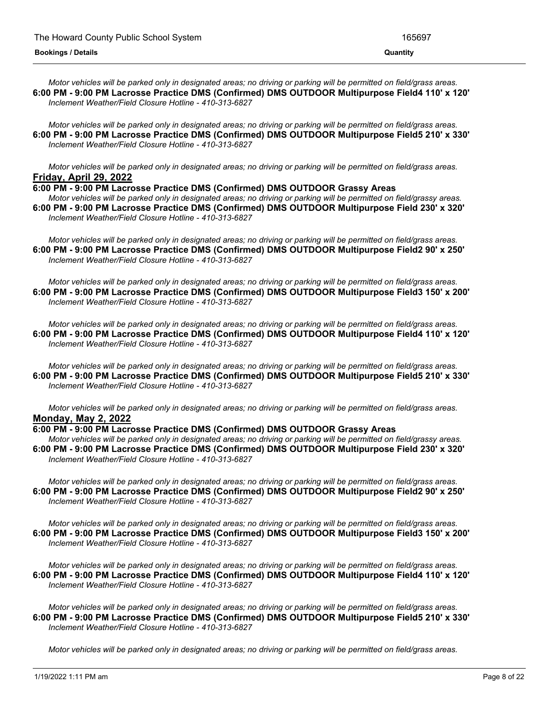Motor vehicles will be parked only in designated areas; no driving or parking will be permitted on field/grass areas. **6:00 PM - 9:00 PM Lacrosse Practice DMS (Confirmed) DMS OUTDOOR Multipurpose Field4 110' x 120'** *Inclement Weather/Field Closure Hotline - 410-313-6827*

Motor vehicles will be parked only in designated areas; no driving or parking will be permitted on field/grass areas. **6:00 PM - 9:00 PM Lacrosse Practice DMS (Confirmed) DMS OUTDOOR Multipurpose Field5 210' x 330'** *Inclement Weather/Field Closure Hotline - 410-313-6827*

Motor vehicles will be parked only in designated areas; no driving or parking will be permitted on field/grass areas. **Friday, April 29, 2022**

**6:00 PM - 9:00 PM Lacrosse Practice DMS (Confirmed) DMS OUTDOOR Grassy Areas**

Motor vehicles will be parked only in designated areas; no driving or parking will be permitted on field/grassy areas. **6:00 PM - 9:00 PM Lacrosse Practice DMS (Confirmed) DMS OUTDOOR Multipurpose Field 230' x 320'** *Inclement Weather/Field Closure Hotline - 410-313-6827*

Motor vehicles will be parked only in designated areas; no driving or parking will be permitted on field/grass areas. **6:00 PM - 9:00 PM Lacrosse Practice DMS (Confirmed) DMS OUTDOOR Multipurpose Field2 90' x 250'** *Inclement Weather/Field Closure Hotline - 410-313-6827*

Motor vehicles will be parked only in designated areas; no driving or parking will be permitted on field/grass areas. **6:00 PM - 9:00 PM Lacrosse Practice DMS (Confirmed) DMS OUTDOOR Multipurpose Field3 150' x 200'** *Inclement Weather/Field Closure Hotline - 410-313-6827*

Motor vehicles will be parked only in designated areas; no driving or parking will be permitted on field/grass areas. **6:00 PM - 9:00 PM Lacrosse Practice DMS (Confirmed) DMS OUTDOOR Multipurpose Field4 110' x 120'** *Inclement Weather/Field Closure Hotline - 410-313-6827*

Motor vehicles will be parked only in designated areas; no driving or parking will be permitted on field/grass areas. **6:00 PM - 9:00 PM Lacrosse Practice DMS (Confirmed) DMS OUTDOOR Multipurpose Field5 210' x 330'** *Inclement Weather/Field Closure Hotline - 410-313-6827*

Motor vehicles will be parked only in designated areas; no driving or parking will be permitted on field/grass areas. **Monday, May 2, 2022**

**6:00 PM - 9:00 PM Lacrosse Practice DMS (Confirmed) DMS OUTDOOR Grassy Areas**

Motor vehicles will be parked only in designated areas; no driving or parking will be permitted on field/grassy areas. **6:00 PM - 9:00 PM Lacrosse Practice DMS (Confirmed) DMS OUTDOOR Multipurpose Field 230' x 320'** *Inclement Weather/Field Closure Hotline - 410-313-6827*

Motor vehicles will be parked only in designated areas; no driving or parking will be permitted on field/grass areas. **6:00 PM - 9:00 PM Lacrosse Practice DMS (Confirmed) DMS OUTDOOR Multipurpose Field2 90' x 250'** *Inclement Weather/Field Closure Hotline - 410-313-6827*

Motor vehicles will be parked only in designated areas; no driving or parking will be permitted on field/grass areas. **6:00 PM - 9:00 PM Lacrosse Practice DMS (Confirmed) DMS OUTDOOR Multipurpose Field3 150' x 200'** *Inclement Weather/Field Closure Hotline - 410-313-6827*

Motor vehicles will be parked only in designated areas; no driving or parking will be permitted on field/grass areas. **6:00 PM - 9:00 PM Lacrosse Practice DMS (Confirmed) DMS OUTDOOR Multipurpose Field4 110' x 120'** *Inclement Weather/Field Closure Hotline - 410-313-6827*

Motor vehicles will be parked only in designated areas; no driving or parking will be permitted on field/grass areas. **6:00 PM - 9:00 PM Lacrosse Practice DMS (Confirmed) DMS OUTDOOR Multipurpose Field5 210' x 330'** *Inclement Weather/Field Closure Hotline - 410-313-6827*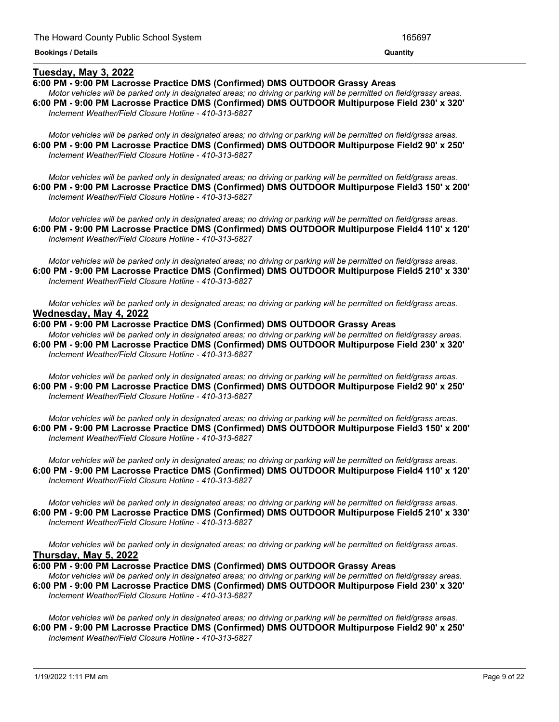## **Tuesday, May 3, 2022**

## **6:00 PM - 9:00 PM Lacrosse Practice DMS (Confirmed) DMS OUTDOOR Grassy Areas**

Motor vehicles will be parked only in designated areas; no driving or parking will be permitted on field/grassy areas. **6:00 PM - 9:00 PM Lacrosse Practice DMS (Confirmed) DMS OUTDOOR Multipurpose Field 230' x 320'** *Inclement Weather/Field Closure Hotline - 410-313-6827*

<u> 1989 - Andrea Andrew Maria (h. 1989).</u>

Motor vehicles will be parked only in designated areas; no driving or parking will be permitted on field/grass areas. **6:00 PM - 9:00 PM Lacrosse Practice DMS (Confirmed) DMS OUTDOOR Multipurpose Field2 90' x 250'** *Inclement Weather/Field Closure Hotline - 410-313-6827*

Motor vehicles will be parked only in designated areas; no driving or parking will be permitted on field/grass areas. **6:00 PM - 9:00 PM Lacrosse Practice DMS (Confirmed) DMS OUTDOOR Multipurpose Field3 150' x 200'** *Inclement Weather/Field Closure Hotline - 410-313-6827*

Motor vehicles will be parked only in designated areas; no driving or parking will be permitted on field/grass areas. **6:00 PM - 9:00 PM Lacrosse Practice DMS (Confirmed) DMS OUTDOOR Multipurpose Field4 110' x 120'** *Inclement Weather/Field Closure Hotline - 410-313-6827*

Motor vehicles will be parked only in designated areas; no driving or parking will be permitted on field/grass areas. **6:00 PM - 9:00 PM Lacrosse Practice DMS (Confirmed) DMS OUTDOOR Multipurpose Field5 210' x 330'** *Inclement Weather/Field Closure Hotline - 410-313-6827*

Motor vehicles will be parked only in designated areas: no driving or parking will be permitted on field/grass areas. **Wednesday, May 4, 2022**

#### **6:00 PM - 9:00 PM Lacrosse Practice DMS (Confirmed) DMS OUTDOOR Grassy Areas**

Motor vehicles will be parked only in designated areas; no driving or parking will be permitted on field/grassy areas. **6:00 PM - 9:00 PM Lacrosse Practice DMS (Confirmed) DMS OUTDOOR Multipurpose Field 230' x 320'** *Inclement Weather/Field Closure Hotline - 410-313-6827*

Motor vehicles will be parked only in designated areas; no driving or parking will be permitted on field/grass areas. **6:00 PM - 9:00 PM Lacrosse Practice DMS (Confirmed) DMS OUTDOOR Multipurpose Field2 90' x 250'** *Inclement Weather/Field Closure Hotline - 410-313-6827*

Motor vehicles will be parked only in designated areas; no driving or parking will be permitted on field/grass areas. **6:00 PM - 9:00 PM Lacrosse Practice DMS (Confirmed) DMS OUTDOOR Multipurpose Field3 150' x 200'** *Inclement Weather/Field Closure Hotline - 410-313-6827*

Motor vehicles will be parked only in designated areas; no driving or parking will be permitted on field/grass areas. **6:00 PM - 9:00 PM Lacrosse Practice DMS (Confirmed) DMS OUTDOOR Multipurpose Field4 110' x 120'** *Inclement Weather/Field Closure Hotline - 410-313-6827*

Motor vehicles will be parked only in designated areas; no driving or parking will be permitted on field/grass areas. **6:00 PM - 9:00 PM Lacrosse Practice DMS (Confirmed) DMS OUTDOOR Multipurpose Field5 210' x 330'** *Inclement Weather/Field Closure Hotline - 410-313-6827*

Motor vehicles will be parked only in designated areas; no driving or parking will be permitted on field/grass areas. **Thursday, May 5, 2022**

**6:00 PM - 9:00 PM Lacrosse Practice DMS (Confirmed) DMS OUTDOOR Grassy Areas**

Motor vehicles will be parked only in designated areas; no driving or parking will be permitted on field/grassy areas. **6:00 PM - 9:00 PM Lacrosse Practice DMS (Confirmed) DMS OUTDOOR Multipurpose Field 230' x 320'** *Inclement Weather/Field Closure Hotline - 410-313-6827*

Motor vehicles will be parked only in designated areas; no driving or parking will be permitted on field/grass areas. **6:00 PM - 9:00 PM Lacrosse Practice DMS (Confirmed) DMS OUTDOOR Multipurpose Field2 90' x 250'** *Inclement Weather/Field Closure Hotline - 410-313-6827*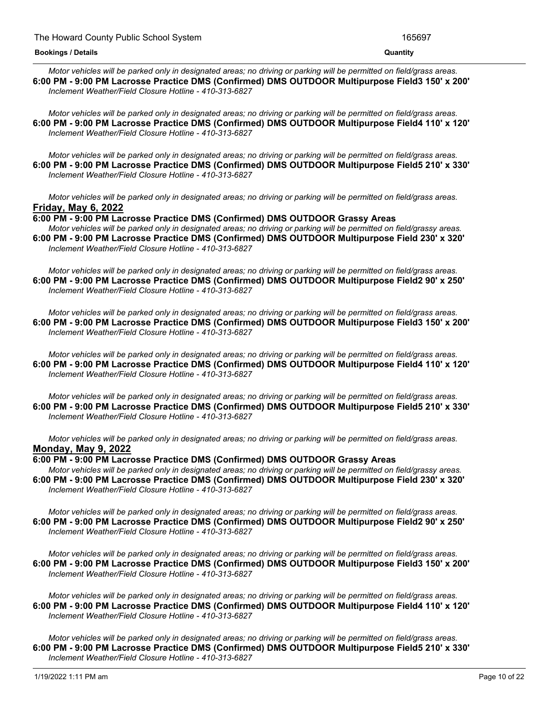Motor vehicles will be parked only in designated areas; no driving or parking will be permitted on field/grass areas. **6:00 PM - 9:00 PM Lacrosse Practice DMS (Confirmed) DMS OUTDOOR Multipurpose Field3 150' x 200'** *Inclement Weather/Field Closure Hotline - 410-313-6827*

Motor vehicles will be parked only in designated areas: no driving or parking will be permitted on field/grass areas. **6:00 PM - 9:00 PM Lacrosse Practice DMS (Confirmed) DMS OUTDOOR Multipurpose Field4 110' x 120'** *Inclement Weather/Field Closure Hotline - 410-313-6827*

Motor vehicles will be parked only in designated areas; no driving or parking will be permitted on field/grass areas. **6:00 PM - 9:00 PM Lacrosse Practice DMS (Confirmed) DMS OUTDOOR Multipurpose Field5 210' x 330'** *Inclement Weather/Field Closure Hotline - 410-313-6827*

Motor vehicles will be parked only in designated areas; no driving or parking will be permitted on field/grass areas. **Friday, May 6, 2022**

**6:00 PM - 9:00 PM Lacrosse Practice DMS (Confirmed) DMS OUTDOOR Grassy Areas**

Motor vehicles will be parked only in designated areas; no driving or parking will be permitted on field/grassy areas. **6:00 PM - 9:00 PM Lacrosse Practice DMS (Confirmed) DMS OUTDOOR Multipurpose Field 230' x 320'** *Inclement Weather/Field Closure Hotline - 410-313-6827*

Motor vehicles will be parked only in designated areas; no driving or parking will be permitted on field/grass areas. **6:00 PM - 9:00 PM Lacrosse Practice DMS (Confirmed) DMS OUTDOOR Multipurpose Field2 90' x 250'** *Inclement Weather/Field Closure Hotline - 410-313-6827*

Motor vehicles will be parked only in designated areas; no driving or parking will be permitted on field/grass areas. **6:00 PM - 9:00 PM Lacrosse Practice DMS (Confirmed) DMS OUTDOOR Multipurpose Field3 150' x 200'** *Inclement Weather/Field Closure Hotline - 410-313-6827*

Motor vehicles will be parked only in designated areas; no driving or parking will be permitted on field/grass areas. **6:00 PM - 9:00 PM Lacrosse Practice DMS (Confirmed) DMS OUTDOOR Multipurpose Field4 110' x 120'** *Inclement Weather/Field Closure Hotline - 410-313-6827*

Motor vehicles will be parked only in designated areas; no driving or parking will be permitted on field/grass areas. **6:00 PM - 9:00 PM Lacrosse Practice DMS (Confirmed) DMS OUTDOOR Multipurpose Field5 210' x 330'** *Inclement Weather/Field Closure Hotline - 410-313-6827*

Motor vehicles will be parked only in designated areas; no driving or parking will be permitted on field/grass areas. **Monday, May 9, 2022**

**6:00 PM - 9:00 PM Lacrosse Practice DMS (Confirmed) DMS OUTDOOR Grassy Areas**

Motor vehicles will be parked only in designated areas; no driving or parking will be permitted on field/grassy areas. **6:00 PM - 9:00 PM Lacrosse Practice DMS (Confirmed) DMS OUTDOOR Multipurpose Field 230' x 320'** *Inclement Weather/Field Closure Hotline - 410-313-6827*

Motor vehicles will be parked only in designated areas; no driving or parking will be permitted on field/grass areas. **6:00 PM - 9:00 PM Lacrosse Practice DMS (Confirmed) DMS OUTDOOR Multipurpose Field2 90' x 250'** *Inclement Weather/Field Closure Hotline - 410-313-6827*

Motor vehicles will be parked only in designated areas: no driving or parking will be permitted on field/grass areas. **6:00 PM - 9:00 PM Lacrosse Practice DMS (Confirmed) DMS OUTDOOR Multipurpose Field3 150' x 200'** *Inclement Weather/Field Closure Hotline - 410-313-6827*

Motor vehicles will be parked only in designated areas; no driving or parking will be permitted on field/grass areas. **6:00 PM - 9:00 PM Lacrosse Practice DMS (Confirmed) DMS OUTDOOR Multipurpose Field4 110' x 120'** *Inclement Weather/Field Closure Hotline - 410-313-6827*

Motor vehicles will be parked only in designated areas; no driving or parking will be permitted on field/grass areas. **6:00 PM - 9:00 PM Lacrosse Practice DMS (Confirmed) DMS OUTDOOR Multipurpose Field5 210' x 330'** *Inclement Weather/Field Closure Hotline - 410-313-6827*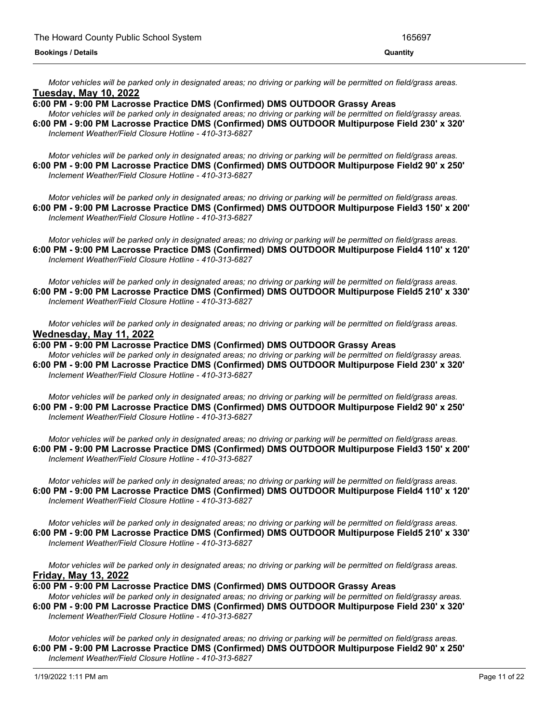Motor vehicles will be parked only in designated areas; no driving or parking will be permitted on field/grass areas. **Tuesday, May 10, 2022**

## **6:00 PM - 9:00 PM Lacrosse Practice DMS (Confirmed) DMS OUTDOOR Grassy Areas**

Motor vehicles will be parked only in designated areas; no driving or parking will be permitted on field/grassy areas. **6:00 PM - 9:00 PM Lacrosse Practice DMS (Confirmed) DMS OUTDOOR Multipurpose Field 230' x 320'** *Inclement Weather/Field Closure Hotline - 410-313-6827*

Motor vehicles will be parked only in designated areas; no driving or parking will be permitted on field/grass areas. **6:00 PM - 9:00 PM Lacrosse Practice DMS (Confirmed) DMS OUTDOOR Multipurpose Field2 90' x 250'** *Inclement Weather/Field Closure Hotline - 410-313-6827*

Motor vehicles will be parked only in designated areas; no driving or parking will be permitted on field/grass areas. **6:00 PM - 9:00 PM Lacrosse Practice DMS (Confirmed) DMS OUTDOOR Multipurpose Field3 150' x 200'** *Inclement Weather/Field Closure Hotline - 410-313-6827*

Motor vehicles will be parked only in designated areas; no driving or parking will be permitted on field/grass areas. **6:00 PM - 9:00 PM Lacrosse Practice DMS (Confirmed) DMS OUTDOOR Multipurpose Field4 110' x 120'** *Inclement Weather/Field Closure Hotline - 410-313-6827*

Motor vehicles will be parked only in designated areas; no driving or parking will be permitted on field/grass areas. **6:00 PM - 9:00 PM Lacrosse Practice DMS (Confirmed) DMS OUTDOOR Multipurpose Field5 210' x 330'** *Inclement Weather/Field Closure Hotline - 410-313-6827*

Motor vehicles will be parked only in designated areas; no driving or parking will be permitted on field/grass areas. **Wednesday, May 11, 2022**

## **6:00 PM - 9:00 PM Lacrosse Practice DMS (Confirmed) DMS OUTDOOR Grassy Areas**

Motor vehicles will be parked only in designated areas; no driving or parking will be permitted on field/grassy areas. **6:00 PM - 9:00 PM Lacrosse Practice DMS (Confirmed) DMS OUTDOOR Multipurpose Field 230' x 320'** *Inclement Weather/Field Closure Hotline - 410-313-6827*

Motor vehicles will be parked only in designated areas; no driving or parking will be permitted on field/grass areas. **6:00 PM - 9:00 PM Lacrosse Practice DMS (Confirmed) DMS OUTDOOR Multipurpose Field2 90' x 250'** *Inclement Weather/Field Closure Hotline - 410-313-6827*

Motor vehicles will be parked only in designated areas; no driving or parking will be permitted on field/grass areas. **6:00 PM - 9:00 PM Lacrosse Practice DMS (Confirmed) DMS OUTDOOR Multipurpose Field3 150' x 200'** *Inclement Weather/Field Closure Hotline - 410-313-6827*

Motor vehicles will be parked only in designated areas; no driving or parking will be permitted on field/grass areas. **6:00 PM - 9:00 PM Lacrosse Practice DMS (Confirmed) DMS OUTDOOR Multipurpose Field4 110' x 120'** *Inclement Weather/Field Closure Hotline - 410-313-6827*

Motor vehicles will be parked only in designated areas; no driving or parking will be permitted on field/grass areas. **6:00 PM - 9:00 PM Lacrosse Practice DMS (Confirmed) DMS OUTDOOR Multipurpose Field5 210' x 330'** *Inclement Weather/Field Closure Hotline - 410-313-6827*

Motor vehicles will be parked only in designated areas; no driving or parking will be permitted on field/grass areas. **Friday, May 13, 2022**

## **6:00 PM - 9:00 PM Lacrosse Practice DMS (Confirmed) DMS OUTDOOR Grassy Areas**

Motor vehicles will be parked only in designated areas; no driving or parking will be permitted on field/grassy areas. **6:00 PM - 9:00 PM Lacrosse Practice DMS (Confirmed) DMS OUTDOOR Multipurpose Field 230' x 320'** *Inclement Weather/Field Closure Hotline - 410-313-6827*

Motor vehicles will be parked only in designated areas; no driving or parking will be permitted on field/grass areas. **6:00 PM - 9:00 PM Lacrosse Practice DMS (Confirmed) DMS OUTDOOR Multipurpose Field2 90' x 250'** *Inclement Weather/Field Closure Hotline - 410-313-6827*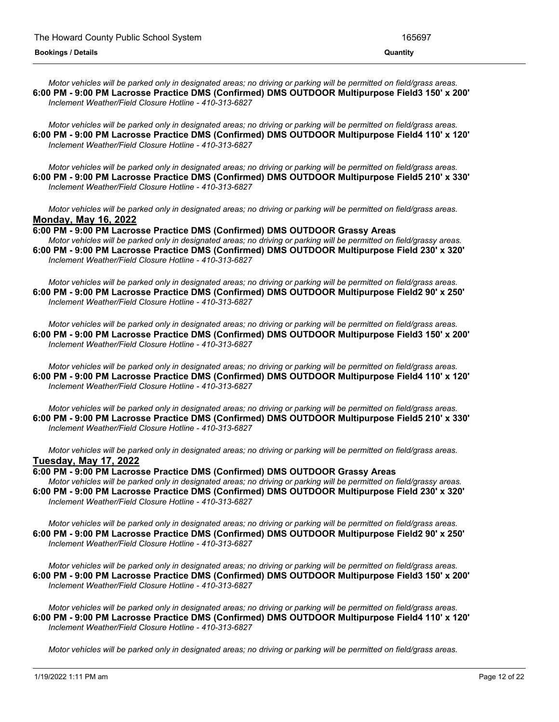Motor vehicles will be parked only in designated areas; no driving or parking will be permitted on field/grass areas. **6:00 PM - 9:00 PM Lacrosse Practice DMS (Confirmed) DMS OUTDOOR Multipurpose Field3 150' x 200'** *Inclement Weather/Field Closure Hotline - 410-313-6827*

Motor vehicles will be parked only in designated areas; no driving or parking will be permitted on field/grass areas. **6:00 PM - 9:00 PM Lacrosse Practice DMS (Confirmed) DMS OUTDOOR Multipurpose Field4 110' x 120'** *Inclement Weather/Field Closure Hotline - 410-313-6827*

Motor vehicles will be parked only in designated areas; no driving or parking will be permitted on field/grass areas. **6:00 PM - 9:00 PM Lacrosse Practice DMS (Confirmed) DMS OUTDOOR Multipurpose Field5 210' x 330'** *Inclement Weather/Field Closure Hotline - 410-313-6827*

Motor vehicles will be parked only in designated areas; no driving or parking will be permitted on field/grass areas. **Monday, May 16, 2022**

**6:00 PM - 9:00 PM Lacrosse Practice DMS (Confirmed) DMS OUTDOOR Grassy Areas** Motor vehicles will be parked only in designated areas; no driving or parking will be permitted on field/grassy areas. **6:00 PM - 9:00 PM Lacrosse Practice DMS (Confirmed) DMS OUTDOOR Multipurpose Field 230' x 320'** *Inclement Weather/Field Closure Hotline - 410-313-6827*

Motor vehicles will be parked only in designated areas; no driving or parking will be permitted on field/grass areas. **6:00 PM - 9:00 PM Lacrosse Practice DMS (Confirmed) DMS OUTDOOR Multipurpose Field2 90' x 250'** *Inclement Weather/Field Closure Hotline - 410-313-6827*

Motor vehicles will be parked only in designated areas; no driving or parking will be permitted on field/grass areas. **6:00 PM - 9:00 PM Lacrosse Practice DMS (Confirmed) DMS OUTDOOR Multipurpose Field3 150' x 200'** *Inclement Weather/Field Closure Hotline - 410-313-6827*

Motor vehicles will be parked only in designated areas; no driving or parking will be permitted on field/grass areas. **6:00 PM - 9:00 PM Lacrosse Practice DMS (Confirmed) DMS OUTDOOR Multipurpose Field4 110' x 120'** *Inclement Weather/Field Closure Hotline - 410-313-6827*

Motor vehicles will be parked only in designated areas; no driving or parking will be permitted on field/grass areas. **6:00 PM - 9:00 PM Lacrosse Practice DMS (Confirmed) DMS OUTDOOR Multipurpose Field5 210' x 330'** *Inclement Weather/Field Closure Hotline - 410-313-6827*

Motor vehicles will be parked only in designated areas; no driving or parking will be permitted on field/grass areas. **Tuesday, May 17, 2022**

**6:00 PM - 9:00 PM Lacrosse Practice DMS (Confirmed) DMS OUTDOOR Grassy Areas** Motor vehicles will be parked only in designated areas; no driving or parking will be permitted on field/grassy areas. **6:00 PM - 9:00 PM Lacrosse Practice DMS (Confirmed) DMS OUTDOOR Multipurpose Field 230' x 320'** *Inclement Weather/Field Closure Hotline - 410-313-6827*

Motor vehicles will be parked only in designated areas; no driving or parking will be permitted on field/grass areas. **6:00 PM - 9:00 PM Lacrosse Practice DMS (Confirmed) DMS OUTDOOR Multipurpose Field2 90' x 250'** *Inclement Weather/Field Closure Hotline - 410-313-6827*

Motor vehicles will be parked only in designated areas; no driving or parking will be permitted on field/grass areas. **6:00 PM - 9:00 PM Lacrosse Practice DMS (Confirmed) DMS OUTDOOR Multipurpose Field3 150' x 200'** *Inclement Weather/Field Closure Hotline - 410-313-6827*

Motor vehicles will be parked only in designated areas; no driving or parking will be permitted on field/grass areas. **6:00 PM - 9:00 PM Lacrosse Practice DMS (Confirmed) DMS OUTDOOR Multipurpose Field4 110' x 120'** *Inclement Weather/Field Closure Hotline - 410-313-6827*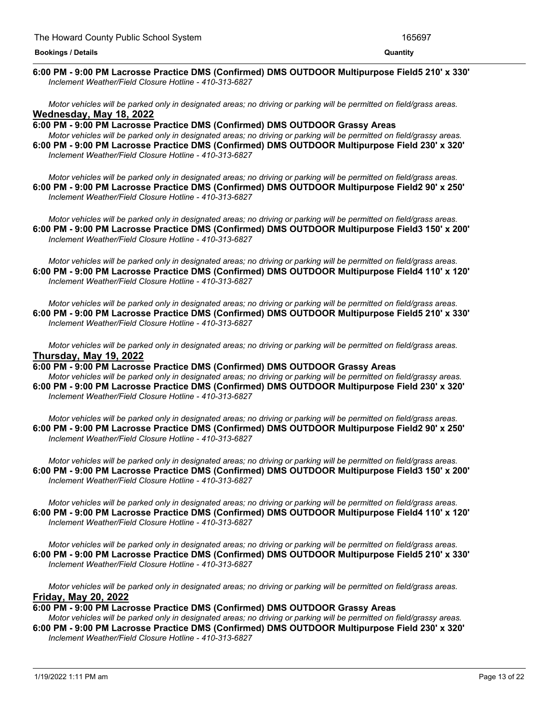#### <u> 1989 - Andrea Andrew Maria (h. 1989).</u> **6:00 PM - 9:00 PM Lacrosse Practice DMS (Confirmed) DMS OUTDOOR Multipurpose Field5 210' x 330'** *Inclement Weather/Field Closure Hotline - 410-313-6827*

Motor vehicles will be parked only in designated areas; no driving or parking will be permitted on field/grass areas. **Wednesday, May 18, 2022**

**6:00 PM - 9:00 PM Lacrosse Practice DMS (Confirmed) DMS OUTDOOR Grassy Areas** Motor vehicles will be parked only in designated areas; no driving or parking will be permitted on field/grassy areas. **6:00 PM - 9:00 PM Lacrosse Practice DMS (Confirmed) DMS OUTDOOR Multipurpose Field 230' x 320'** *Inclement Weather/Field Closure Hotline - 410-313-6827*

Motor vehicles will be parked only in designated areas; no driving or parking will be permitted on field/grass areas. **6:00 PM - 9:00 PM Lacrosse Practice DMS (Confirmed) DMS OUTDOOR Multipurpose Field2 90' x 250'** *Inclement Weather/Field Closure Hotline - 410-313-6827*

Motor vehicles will be parked only in designated areas; no driving or parking will be permitted on field/grass areas. **6:00 PM - 9:00 PM Lacrosse Practice DMS (Confirmed) DMS OUTDOOR Multipurpose Field3 150' x 200'** *Inclement Weather/Field Closure Hotline - 410-313-6827*

Motor vehicles will be parked only in designated areas; no driving or parking will be permitted on field/grass areas. **6:00 PM - 9:00 PM Lacrosse Practice DMS (Confirmed) DMS OUTDOOR Multipurpose Field4 110' x 120'** *Inclement Weather/Field Closure Hotline - 410-313-6827*

Motor vehicles will be parked only in designated areas: no driving or parking will be permitted on field/grass areas. **6:00 PM - 9:00 PM Lacrosse Practice DMS (Confirmed) DMS OUTDOOR Multipurpose Field5 210' x 330'** *Inclement Weather/Field Closure Hotline - 410-313-6827*

Motor vehicles will be parked only in designated areas; no driving or parking will be permitted on field/grass areas. **Thursday, May 19, 2022**

**6:00 PM - 9:00 PM Lacrosse Practice DMS (Confirmed) DMS OUTDOOR Grassy Areas** Motor vehicles will be parked only in designated areas; no driving or parking will be permitted on field/grassy areas.

**6:00 PM - 9:00 PM Lacrosse Practice DMS (Confirmed) DMS OUTDOOR Multipurpose Field 230' x 320'** *Inclement Weather/Field Closure Hotline - 410-313-6827*

Motor vehicles will be parked only in designated areas; no driving or parking will be permitted on field/grass areas. **6:00 PM - 9:00 PM Lacrosse Practice DMS (Confirmed) DMS OUTDOOR Multipurpose Field2 90' x 250'** *Inclement Weather/Field Closure Hotline - 410-313-6827*

Motor vehicles will be parked only in designated areas; no driving or parking will be permitted on field/grass areas. **6:00 PM - 9:00 PM Lacrosse Practice DMS (Confirmed) DMS OUTDOOR Multipurpose Field3 150' x 200'** *Inclement Weather/Field Closure Hotline - 410-313-6827*

Motor vehicles will be parked only in designated areas; no driving or parking will be permitted on field/grass areas. **6:00 PM - 9:00 PM Lacrosse Practice DMS (Confirmed) DMS OUTDOOR Multipurpose Field4 110' x 120'** *Inclement Weather/Field Closure Hotline - 410-313-6827*

Motor vehicles will be parked only in designated areas; no driving or parking will be permitted on field/grass areas. **6:00 PM - 9:00 PM Lacrosse Practice DMS (Confirmed) DMS OUTDOOR Multipurpose Field5 210' x 330'** *Inclement Weather/Field Closure Hotline - 410-313-6827*

Motor vehicles will be parked only in designated areas; no driving or parking will be permitted on field/grass areas. **Friday, May 20, 2022**

## **6:00 PM - 9:00 PM Lacrosse Practice DMS (Confirmed) DMS OUTDOOR Grassy Areas**

Motor vehicles will be parked only in designated areas; no driving or parking will be permitted on field/grassy areas. **6:00 PM - 9:00 PM Lacrosse Practice DMS (Confirmed) DMS OUTDOOR Multipurpose Field 230' x 320'** *Inclement Weather/Field Closure Hotline - 410-313-6827*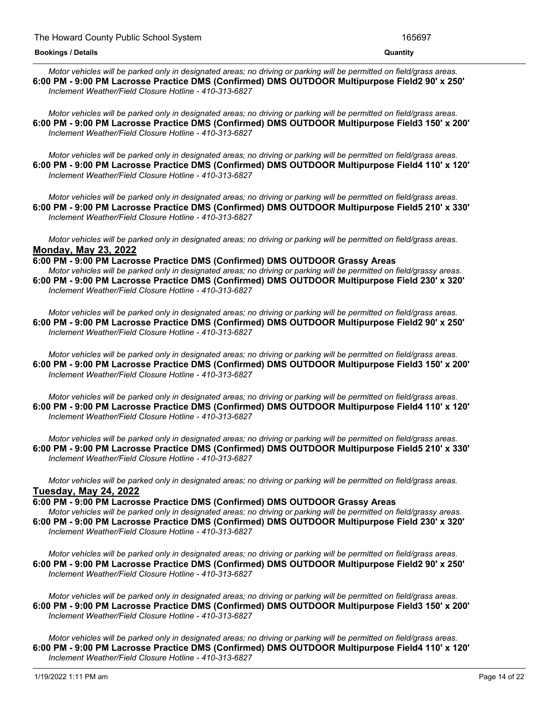Motor vehicles will be parked only in designated areas; no driving or parking will be permitted on field/grass areas. **6:00 PM - 9:00 PM Lacrosse Practice DMS (Confirmed) DMS OUTDOOR Multipurpose Field2 90' x 250'** *Inclement Weather/Field Closure Hotline - 410-313-6827*

Motor vehicles will be parked only in designated areas: no driving or parking will be permitted on field/grass areas. **6:00 PM - 9:00 PM Lacrosse Practice DMS (Confirmed) DMS OUTDOOR Multipurpose Field3 150' x 200'** *Inclement Weather/Field Closure Hotline - 410-313-6827*

Motor vehicles will be parked only in designated areas; no driving or parking will be permitted on field/grass areas. **6:00 PM - 9:00 PM Lacrosse Practice DMS (Confirmed) DMS OUTDOOR Multipurpose Field4 110' x 120'** *Inclement Weather/Field Closure Hotline - 410-313-6827*

Motor vehicles will be parked only in designated areas: no driving or parking will be permitted on field/grass areas. **6:00 PM - 9:00 PM Lacrosse Practice DMS (Confirmed) DMS OUTDOOR Multipurpose Field5 210' x 330'** *Inclement Weather/Field Closure Hotline - 410-313-6827*

Motor vehicles will be parked only in designated areas; no driving or parking will be permitted on field/grass areas. **Monday, May 23, 2022**

**6:00 PM - 9:00 PM Lacrosse Practice DMS (Confirmed) DMS OUTDOOR Grassy Areas** Motor vehicles will be parked only in designated areas; no driving or parking will be permitted on field/grassy areas. **6:00 PM - 9:00 PM Lacrosse Practice DMS (Confirmed) DMS OUTDOOR Multipurpose Field 230' x 320'** *Inclement Weather/Field Closure Hotline - 410-313-6827*

Motor vehicles will be parked only in designated areas; no driving or parking will be permitted on field/grass areas. **6:00 PM - 9:00 PM Lacrosse Practice DMS (Confirmed) DMS OUTDOOR Multipurpose Field2 90' x 250'** *Inclement Weather/Field Closure Hotline - 410-313-6827*

Motor vehicles will be parked only in designated areas; no driving or parking will be permitted on field/grass areas. **6:00 PM - 9:00 PM Lacrosse Practice DMS (Confirmed) DMS OUTDOOR Multipurpose Field3 150' x 200'** *Inclement Weather/Field Closure Hotline - 410-313-6827*

Motor vehicles will be parked only in designated areas; no driving or parking will be permitted on field/grass areas. **6:00 PM - 9:00 PM Lacrosse Practice DMS (Confirmed) DMS OUTDOOR Multipurpose Field4 110' x 120'** *Inclement Weather/Field Closure Hotline - 410-313-6827*

Motor vehicles will be parked only in designated areas; no driving or parking will be permitted on field/grass areas. **6:00 PM - 9:00 PM Lacrosse Practice DMS (Confirmed) DMS OUTDOOR Multipurpose Field5 210' x 330'** *Inclement Weather/Field Closure Hotline - 410-313-6827*

Motor vehicles will be parked only in designated areas; no driving or parking will be permitted on field/grass areas. **Tuesday, May 24, 2022**

**6:00 PM - 9:00 PM Lacrosse Practice DMS (Confirmed) DMS OUTDOOR Grassy Areas** Motor vehicles will be parked only in designated areas; no driving or parking will be permitted on field/grassy areas. **6:00 PM - 9:00 PM Lacrosse Practice DMS (Confirmed) DMS OUTDOOR Multipurpose Field 230' x 320'** *Inclement Weather/Field Closure Hotline - 410-313-6827*

Motor vehicles will be parked only in designated areas: no driving or parking will be permitted on field/grass areas. **6:00 PM - 9:00 PM Lacrosse Practice DMS (Confirmed) DMS OUTDOOR Multipurpose Field2 90' x 250'** *Inclement Weather/Field Closure Hotline - 410-313-6827*

Motor vehicles will be parked only in designated areas; no driving or parking will be permitted on field/grass areas. **6:00 PM - 9:00 PM Lacrosse Practice DMS (Confirmed) DMS OUTDOOR Multipurpose Field3 150' x 200'** *Inclement Weather/Field Closure Hotline - 410-313-6827*

Motor vehicles will be parked only in designated areas; no driving or parking will be permitted on field/grass areas. **6:00 PM - 9:00 PM Lacrosse Practice DMS (Confirmed) DMS OUTDOOR Multipurpose Field4 110' x 120'** *Inclement Weather/Field Closure Hotline - 410-313-6827*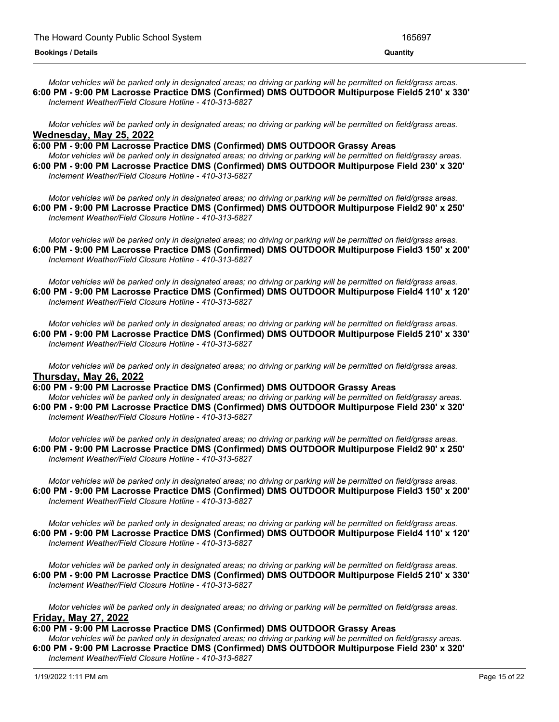Motor vehicles will be parked only in designated areas; no driving or parking will be permitted on field/grass areas. **6:00 PM - 9:00 PM Lacrosse Practice DMS (Confirmed) DMS OUTDOOR Multipurpose Field5 210' x 330'** *Inclement Weather/Field Closure Hotline - 410-313-6827*

Motor vehicles will be parked only in designated areas; no driving or parking will be permitted on field/grass areas. **Wednesday, May 25, 2022**

**6:00 PM - 9:00 PM Lacrosse Practice DMS (Confirmed) DMS OUTDOOR Grassy Areas**

Motor vehicles will be parked only in designated areas; no driving or parking will be permitted on field/grassy areas. **6:00 PM - 9:00 PM Lacrosse Practice DMS (Confirmed) DMS OUTDOOR Multipurpose Field 230' x 320'** *Inclement Weather/Field Closure Hotline - 410-313-6827*

Motor vehicles will be parked only in designated areas; no driving or parking will be permitted on field/grass areas. **6:00 PM - 9:00 PM Lacrosse Practice DMS (Confirmed) DMS OUTDOOR Multipurpose Field2 90' x 250'** *Inclement Weather/Field Closure Hotline - 410-313-6827*

Motor vehicles will be parked only in designated areas; no driving or parking will be permitted on field/grass areas. **6:00 PM - 9:00 PM Lacrosse Practice DMS (Confirmed) DMS OUTDOOR Multipurpose Field3 150' x 200'** *Inclement Weather/Field Closure Hotline - 410-313-6827*

Motor vehicles will be parked only in designated areas; no driving or parking will be permitted on field/grass areas. **6:00 PM - 9:00 PM Lacrosse Practice DMS (Confirmed) DMS OUTDOOR Multipurpose Field4 110' x 120'** *Inclement Weather/Field Closure Hotline - 410-313-6827*

Motor vehicles will be parked only in designated areas; no driving or parking will be permitted on field/grass areas. **6:00 PM - 9:00 PM Lacrosse Practice DMS (Confirmed) DMS OUTDOOR Multipurpose Field5 210' x 330'** *Inclement Weather/Field Closure Hotline - 410-313-6827*

Motor vehicles will be parked only in designated areas; no driving or parking will be permitted on field/grass areas. **Thursday, May 26, 2022**

**6:00 PM - 9:00 PM Lacrosse Practice DMS (Confirmed) DMS OUTDOOR Grassy Areas**

Motor vehicles will be parked only in designated areas; no driving or parking will be permitted on field/grassy areas. **6:00 PM - 9:00 PM Lacrosse Practice DMS (Confirmed) DMS OUTDOOR Multipurpose Field 230' x 320'** *Inclement Weather/Field Closure Hotline - 410-313-6827*

Motor vehicles will be parked only in designated areas; no driving or parking will be permitted on field/grass areas. **6:00 PM - 9:00 PM Lacrosse Practice DMS (Confirmed) DMS OUTDOOR Multipurpose Field2 90' x 250'** *Inclement Weather/Field Closure Hotline - 410-313-6827*

Motor vehicles will be parked only in designated areas; no driving or parking will be permitted on field/grass areas. **6:00 PM - 9:00 PM Lacrosse Practice DMS (Confirmed) DMS OUTDOOR Multipurpose Field3 150' x 200'** *Inclement Weather/Field Closure Hotline - 410-313-6827*

Motor vehicles will be parked only in designated areas; no driving or parking will be permitted on field/grass areas. **6:00 PM - 9:00 PM Lacrosse Practice DMS (Confirmed) DMS OUTDOOR Multipurpose Field4 110' x 120'** *Inclement Weather/Field Closure Hotline - 410-313-6827*

Motor vehicles will be parked only in designated areas; no driving or parking will be permitted on field/grass areas. **6:00 PM - 9:00 PM Lacrosse Practice DMS (Confirmed) DMS OUTDOOR Multipurpose Field5 210' x 330'** *Inclement Weather/Field Closure Hotline - 410-313-6827*

Motor vehicles will be parked only in designated areas; no driving or parking will be permitted on field/grass areas. **Friday, May 27, 2022**

**6:00 PM - 9:00 PM Lacrosse Practice DMS (Confirmed) DMS OUTDOOR Grassy Areas**

Motor vehicles will be parked only in designated areas; no driving or parking will be permitted on field/grassy areas. **6:00 PM - 9:00 PM Lacrosse Practice DMS (Confirmed) DMS OUTDOOR Multipurpose Field 230' x 320'** *Inclement Weather/Field Closure Hotline - 410-313-6827*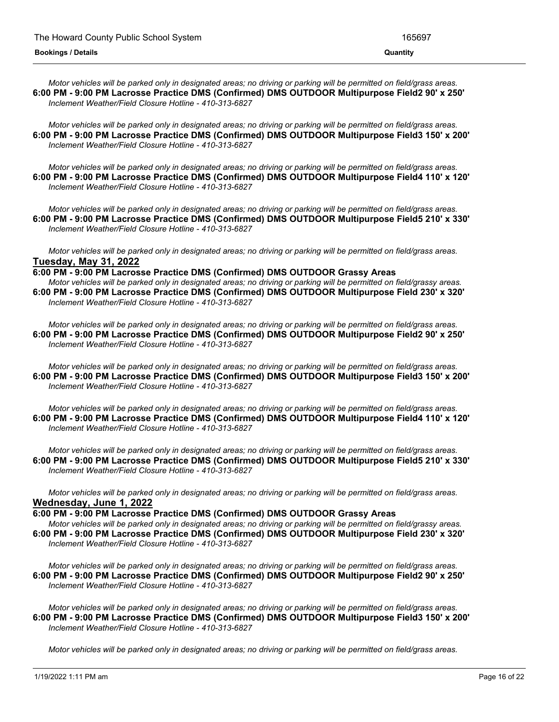Motor vehicles will be parked only in designated areas; no driving or parking will be permitted on field/grass areas. **6:00 PM - 9:00 PM Lacrosse Practice DMS (Confirmed) DMS OUTDOOR Multipurpose Field2 90' x 250'** *Inclement Weather/Field Closure Hotline - 410-313-6827*

Motor vehicles will be parked only in designated areas; no driving or parking will be permitted on field/grass areas. **6:00 PM - 9:00 PM Lacrosse Practice DMS (Confirmed) DMS OUTDOOR Multipurpose Field3 150' x 200'** *Inclement Weather/Field Closure Hotline - 410-313-6827*

Motor vehicles will be parked only in designated areas; no driving or parking will be permitted on field/grass areas. **6:00 PM - 9:00 PM Lacrosse Practice DMS (Confirmed) DMS OUTDOOR Multipurpose Field4 110' x 120'** *Inclement Weather/Field Closure Hotline - 410-313-6827*

Motor vehicles will be parked only in designated areas; no driving or parking will be permitted on field/grass areas. **6:00 PM - 9:00 PM Lacrosse Practice DMS (Confirmed) DMS OUTDOOR Multipurpose Field5 210' x 330'** *Inclement Weather/Field Closure Hotline - 410-313-6827*

Motor vehicles will be parked only in designated areas; no driving or parking will be permitted on field/grass areas. **Tuesday, May 31, 2022**

**6:00 PM - 9:00 PM Lacrosse Practice DMS (Confirmed) DMS OUTDOOR Grassy Areas** Motor vehicles will be parked only in designated areas; no driving or parking will be permitted on field/grassy areas. **6:00 PM - 9:00 PM Lacrosse Practice DMS (Confirmed) DMS OUTDOOR Multipurpose Field 230' x 320'** *Inclement Weather/Field Closure Hotline - 410-313-6827*

Motor vehicles will be parked only in designated areas; no driving or parking will be permitted on field/grass areas. **6:00 PM - 9:00 PM Lacrosse Practice DMS (Confirmed) DMS OUTDOOR Multipurpose Field2 90' x 250'** *Inclement Weather/Field Closure Hotline - 410-313-6827*

Motor vehicles will be parked only in designated areas; no driving or parking will be permitted on field/grass areas. **6:00 PM - 9:00 PM Lacrosse Practice DMS (Confirmed) DMS OUTDOOR Multipurpose Field3 150' x 200'** *Inclement Weather/Field Closure Hotline - 410-313-6827*

Motor vehicles will be parked only in designated areas; no driving or parking will be permitted on field/grass areas. **6:00 PM - 9:00 PM Lacrosse Practice DMS (Confirmed) DMS OUTDOOR Multipurpose Field4 110' x 120'** *Inclement Weather/Field Closure Hotline - 410-313-6827*

Motor vehicles will be parked only in designated areas; no driving or parking will be permitted on field/grass areas. **6:00 PM - 9:00 PM Lacrosse Practice DMS (Confirmed) DMS OUTDOOR Multipurpose Field5 210' x 330'** *Inclement Weather/Field Closure Hotline - 410-313-6827*

Motor vehicles will be parked only in designated areas; no driving or parking will be permitted on field/grass areas. **Wednesday, June 1, 2022**

**6:00 PM - 9:00 PM Lacrosse Practice DMS (Confirmed) DMS OUTDOOR Grassy Areas** Motor vehicles will be parked only in designated areas; no driving or parking will be permitted on field/grassy areas. **6:00 PM - 9:00 PM Lacrosse Practice DMS (Confirmed) DMS OUTDOOR Multipurpose Field 230' x 320'** *Inclement Weather/Field Closure Hotline - 410-313-6827*

Motor vehicles will be parked only in designated areas; no driving or parking will be permitted on field/grass areas. **6:00 PM - 9:00 PM Lacrosse Practice DMS (Confirmed) DMS OUTDOOR Multipurpose Field2 90' x 250'** *Inclement Weather/Field Closure Hotline - 410-313-6827*

Motor vehicles will be parked only in designated areas; no driving or parking will be permitted on field/grass areas. **6:00 PM - 9:00 PM Lacrosse Practice DMS (Confirmed) DMS OUTDOOR Multipurpose Field3 150' x 200'** *Inclement Weather/Field Closure Hotline - 410-313-6827*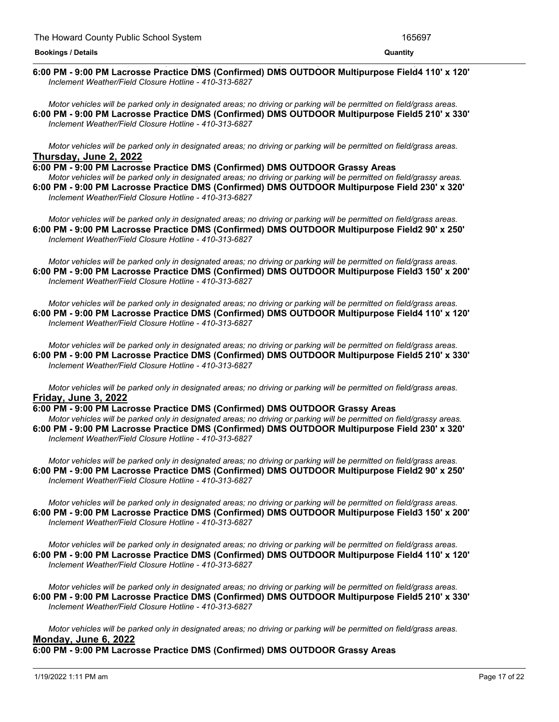#### <u> 1989 - Andrea Andrea Andrea Andrea Andrea Andrea Andrea Andrea Andrea Andrea Andrea Andrea Andrea Andrea And</u> **6:00 PM - 9:00 PM Lacrosse Practice DMS (Confirmed) DMS OUTDOOR Multipurpose Field4 110' x 120'** *Inclement Weather/Field Closure Hotline - 410-313-6827*

Motor vehicles will be parked only in designated areas; no driving or parking will be permitted on field/grass areas. **6:00 PM - 9:00 PM Lacrosse Practice DMS (Confirmed) DMS OUTDOOR Multipurpose Field5 210' x 330'** *Inclement Weather/Field Closure Hotline - 410-313-6827*

Motor vehicles will be parked only in designated areas; no driving or parking will be permitted on field/grass areas. **Thursday, June 2, 2022**

**6:00 PM - 9:00 PM Lacrosse Practice DMS (Confirmed) DMS OUTDOOR Grassy Areas** Motor vehicles will be parked only in designated areas; no driving or parking will be permitted on field/grassy areas. **6:00 PM - 9:00 PM Lacrosse Practice DMS (Confirmed) DMS OUTDOOR Multipurpose Field 230' x 320'** *Inclement Weather/Field Closure Hotline - 410-313-6827*

Motor vehicles will be parked only in designated areas; no driving or parking will be permitted on field/grass areas. **6:00 PM - 9:00 PM Lacrosse Practice DMS (Confirmed) DMS OUTDOOR Multipurpose Field2 90' x 250'** *Inclement Weather/Field Closure Hotline - 410-313-6827*

Motor vehicles will be parked only in designated areas; no driving or parking will be permitted on field/grass areas. **6:00 PM - 9:00 PM Lacrosse Practice DMS (Confirmed) DMS OUTDOOR Multipurpose Field3 150' x 200'** *Inclement Weather/Field Closure Hotline - 410-313-6827*

Motor vehicles will be parked only in designated areas: no driving or parking will be permitted on field/grass areas. **6:00 PM - 9:00 PM Lacrosse Practice DMS (Confirmed) DMS OUTDOOR Multipurpose Field4 110' x 120'** *Inclement Weather/Field Closure Hotline - 410-313-6827*

Motor vehicles will be parked only in designated areas; no driving or parking will be permitted on field/grass areas. **6:00 PM - 9:00 PM Lacrosse Practice DMS (Confirmed) DMS OUTDOOR Multipurpose Field5 210' x 330'** *Inclement Weather/Field Closure Hotline - 410-313-6827*

Motor vehicles will be parked only in designated areas; no driving or parking will be permitted on field/grass areas. **Friday, June 3, 2022**

**6:00 PM - 9:00 PM Lacrosse Practice DMS (Confirmed) DMS OUTDOOR Grassy Areas** Motor vehicles will be parked only in designated areas; no driving or parking will be permitted on field/grassy areas. **6:00 PM - 9:00 PM Lacrosse Practice DMS (Confirmed) DMS OUTDOOR Multipurpose Field 230' x 320'** *Inclement Weather/Field Closure Hotline - 410-313-6827*

Motor vehicles will be parked only in designated areas; no driving or parking will be permitted on field/grass areas. **6:00 PM - 9:00 PM Lacrosse Practice DMS (Confirmed) DMS OUTDOOR Multipurpose Field2 90' x 250'** *Inclement Weather/Field Closure Hotline - 410-313-6827*

Motor vehicles will be parked only in designated areas; no driving or parking will be permitted on field/grass areas. **6:00 PM - 9:00 PM Lacrosse Practice DMS (Confirmed) DMS OUTDOOR Multipurpose Field3 150' x 200'** *Inclement Weather/Field Closure Hotline - 410-313-6827*

Motor vehicles will be parked only in designated areas; no driving or parking will be permitted on field/grass areas. **6:00 PM - 9:00 PM Lacrosse Practice DMS (Confirmed) DMS OUTDOOR Multipurpose Field4 110' x 120'** *Inclement Weather/Field Closure Hotline - 410-313-6827*

Motor vehicles will be parked only in designated areas; no driving or parking will be permitted on field/grass areas. **6:00 PM - 9:00 PM Lacrosse Practice DMS (Confirmed) DMS OUTDOOR Multipurpose Field5 210' x 330'** *Inclement Weather/Field Closure Hotline - 410-313-6827*

Motor vehicles will be parked only in designated areas; no driving or parking will be permitted on field/grass areas. **Monday, June 6, 2022**

**6:00 PM - 9:00 PM Lacrosse Practice DMS (Confirmed) DMS OUTDOOR Grassy Areas**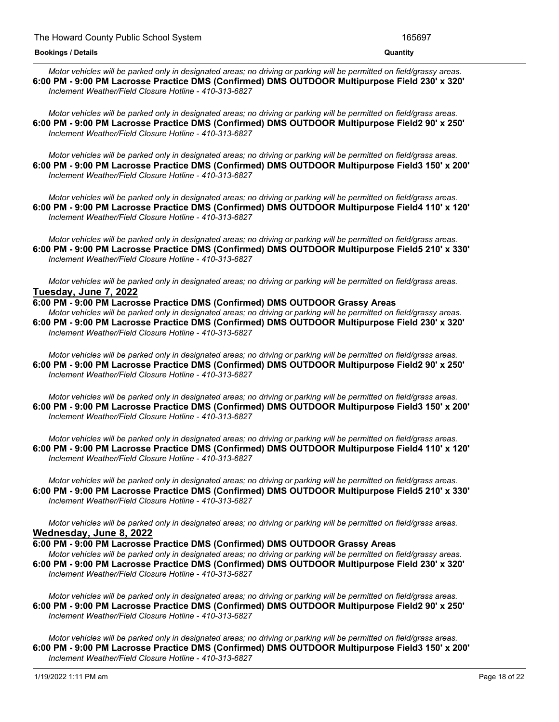#### **6:00 PM - 9:00 PM Lacrosse Practice DMS (Confirmed) DMS OUTDOOR Grassy Areas Bookings / Details Quantity**

Motor vehicles will be parked only in designated areas; no driving or parking will be permitted on field/grassy areas. **6:00 PM - 9:00 PM Lacrosse Practice DMS (Confirmed) DMS OUTDOOR Multipurpose Field 230' x 320'** *Inclement Weather/Field Closure Hotline - 410-313-6827*

Motor vehicles will be parked only in designated areas: no driving or parking will be permitted on field/grass areas. **6:00 PM - 9:00 PM Lacrosse Practice DMS (Confirmed) DMS OUTDOOR Multipurpose Field2 90' x 250'** *Inclement Weather/Field Closure Hotline - 410-313-6827*

Motor vehicles will be parked only in designated areas; no driving or parking will be permitted on field/grass areas. **6:00 PM - 9:00 PM Lacrosse Practice DMS (Confirmed) DMS OUTDOOR Multipurpose Field3 150' x 200'** *Inclement Weather/Field Closure Hotline - 410-313-6827*

Motor vehicles will be parked only in designated areas: no driving or parking will be permitted on field/grass areas. **6:00 PM - 9:00 PM Lacrosse Practice DMS (Confirmed) DMS OUTDOOR Multipurpose Field4 110' x 120'** *Inclement Weather/Field Closure Hotline - 410-313-6827*

Motor vehicles will be parked only in designated areas; no driving or parking will be permitted on field/grass areas. **6:00 PM - 9:00 PM Lacrosse Practice DMS (Confirmed) DMS OUTDOOR Multipurpose Field5 210' x 330'** *Inclement Weather/Field Closure Hotline - 410-313-6827*

Motor vehicles will be parked only in designated areas; no driving or parking will be permitted on field/grass areas. **Tuesday, June 7, 2022**

**6:00 PM - 9:00 PM Lacrosse Practice DMS (Confirmed) DMS OUTDOOR Grassy Areas** Motor vehicles will be parked only in designated areas; no driving or parking will be permitted on field/grassy areas. **6:00 PM - 9:00 PM Lacrosse Practice DMS (Confirmed) DMS OUTDOOR Multipurpose Field 230' x 320'** *Inclement Weather/Field Closure Hotline - 410-313-6827*

Motor vehicles will be parked only in designated areas; no driving or parking will be permitted on field/grass areas. **6:00 PM - 9:00 PM Lacrosse Practice DMS (Confirmed) DMS OUTDOOR Multipurpose Field2 90' x 250'** *Inclement Weather/Field Closure Hotline - 410-313-6827*

Motor vehicles will be parked only in designated areas; no driving or parking will be permitted on field/grass areas. **6:00 PM - 9:00 PM Lacrosse Practice DMS (Confirmed) DMS OUTDOOR Multipurpose Field3 150' x 200'** *Inclement Weather/Field Closure Hotline - 410-313-6827*

Motor vehicles will be parked only in designated areas; no driving or parking will be permitted on field/grass areas. **6:00 PM - 9:00 PM Lacrosse Practice DMS (Confirmed) DMS OUTDOOR Multipurpose Field4 110' x 120'** *Inclement Weather/Field Closure Hotline - 410-313-6827*

Motor vehicles will be parked only in designated areas; no driving or parking will be permitted on field/grass areas. **6:00 PM - 9:00 PM Lacrosse Practice DMS (Confirmed) DMS OUTDOOR Multipurpose Field5 210' x 330'** *Inclement Weather/Field Closure Hotline - 410-313-6827*

Motor vehicles will be parked only in designated areas; no driving or parking will be permitted on field/grass areas. **Wednesday, June 8, 2022**

**6:00 PM - 9:00 PM Lacrosse Practice DMS (Confirmed) DMS OUTDOOR Grassy Areas** Motor vehicles will be parked only in designated areas; no driving or parking will be permitted on field/grassy areas. **6:00 PM - 9:00 PM Lacrosse Practice DMS (Confirmed) DMS OUTDOOR Multipurpose Field 230' x 320'** *Inclement Weather/Field Closure Hotline - 410-313-6827*

Motor vehicles will be parked only in designated areas; no driving or parking will be permitted on field/grass areas. **6:00 PM - 9:00 PM Lacrosse Practice DMS (Confirmed) DMS OUTDOOR Multipurpose Field2 90' x 250'** *Inclement Weather/Field Closure Hotline - 410-313-6827*

Motor vehicles will be parked only in designated areas; no driving or parking will be permitted on field/grass areas. **6:00 PM - 9:00 PM Lacrosse Practice DMS (Confirmed) DMS OUTDOOR Multipurpose Field3 150' x 200'** *Inclement Weather/Field Closure Hotline - 410-313-6827*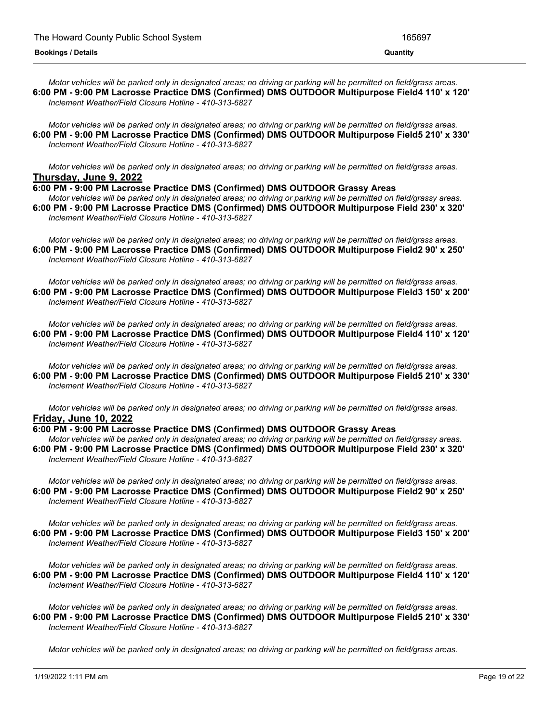Motor vehicles will be parked only in designated areas; no driving or parking will be permitted on field/grass areas. **6:00 PM - 9:00 PM Lacrosse Practice DMS (Confirmed) DMS OUTDOOR Multipurpose Field4 110' x 120'** *Inclement Weather/Field Closure Hotline - 410-313-6827*

Motor vehicles will be parked only in designated areas; no driving or parking will be permitted on field/grass areas. **6:00 PM - 9:00 PM Lacrosse Practice DMS (Confirmed) DMS OUTDOOR Multipurpose Field5 210' x 330'** *Inclement Weather/Field Closure Hotline - 410-313-6827*

Motor vehicles will be parked only in designated areas; no driving or parking will be permitted on field/grass areas. **Thursday, June 9, 2022**

**6:00 PM - 9:00 PM Lacrosse Practice DMS (Confirmed) DMS OUTDOOR Grassy Areas**

Motor vehicles will be parked only in designated areas; no driving or parking will be permitted on field/grassy areas. **6:00 PM - 9:00 PM Lacrosse Practice DMS (Confirmed) DMS OUTDOOR Multipurpose Field 230' x 320'** *Inclement Weather/Field Closure Hotline - 410-313-6827*

Motor vehicles will be parked only in designated areas; no driving or parking will be permitted on field/grass areas. **6:00 PM - 9:00 PM Lacrosse Practice DMS (Confirmed) DMS OUTDOOR Multipurpose Field2 90' x 250'** *Inclement Weather/Field Closure Hotline - 410-313-6827*

Motor vehicles will be parked only in designated areas; no driving or parking will be permitted on field/grass areas. **6:00 PM - 9:00 PM Lacrosse Practice DMS (Confirmed) DMS OUTDOOR Multipurpose Field3 150' x 200'** *Inclement Weather/Field Closure Hotline - 410-313-6827*

Motor vehicles will be parked only in designated areas; no driving or parking will be permitted on field/grass areas. **6:00 PM - 9:00 PM Lacrosse Practice DMS (Confirmed) DMS OUTDOOR Multipurpose Field4 110' x 120'** *Inclement Weather/Field Closure Hotline - 410-313-6827*

Motor vehicles will be parked only in designated areas; no driving or parking will be permitted on field/grass areas. **6:00 PM - 9:00 PM Lacrosse Practice DMS (Confirmed) DMS OUTDOOR Multipurpose Field5 210' x 330'** *Inclement Weather/Field Closure Hotline - 410-313-6827*

Motor vehicles will be parked only in designated areas; no driving or parking will be permitted on field/grass areas. **Friday, June 10, 2022**

**6:00 PM - 9:00 PM Lacrosse Practice DMS (Confirmed) DMS OUTDOOR Grassy Areas**

Motor vehicles will be parked only in designated areas; no driving or parking will be permitted on field/grassy areas. **6:00 PM - 9:00 PM Lacrosse Practice DMS (Confirmed) DMS OUTDOOR Multipurpose Field 230' x 320'** *Inclement Weather/Field Closure Hotline - 410-313-6827*

Motor vehicles will be parked only in designated areas; no driving or parking will be permitted on field/grass areas. **6:00 PM - 9:00 PM Lacrosse Practice DMS (Confirmed) DMS OUTDOOR Multipurpose Field2 90' x 250'** *Inclement Weather/Field Closure Hotline - 410-313-6827*

Motor vehicles will be parked only in designated areas; no driving or parking will be permitted on field/grass areas. **6:00 PM - 9:00 PM Lacrosse Practice DMS (Confirmed) DMS OUTDOOR Multipurpose Field3 150' x 200'** *Inclement Weather/Field Closure Hotline - 410-313-6827*

Motor vehicles will be parked only in designated areas; no driving or parking will be permitted on field/grass areas. **6:00 PM - 9:00 PM Lacrosse Practice DMS (Confirmed) DMS OUTDOOR Multipurpose Field4 110' x 120'** *Inclement Weather/Field Closure Hotline - 410-313-6827*

Motor vehicles will be parked only in designated areas; no driving or parking will be permitted on field/grass areas. **6:00 PM - 9:00 PM Lacrosse Practice DMS (Confirmed) DMS OUTDOOR Multipurpose Field5 210' x 330'** *Inclement Weather/Field Closure Hotline - 410-313-6827*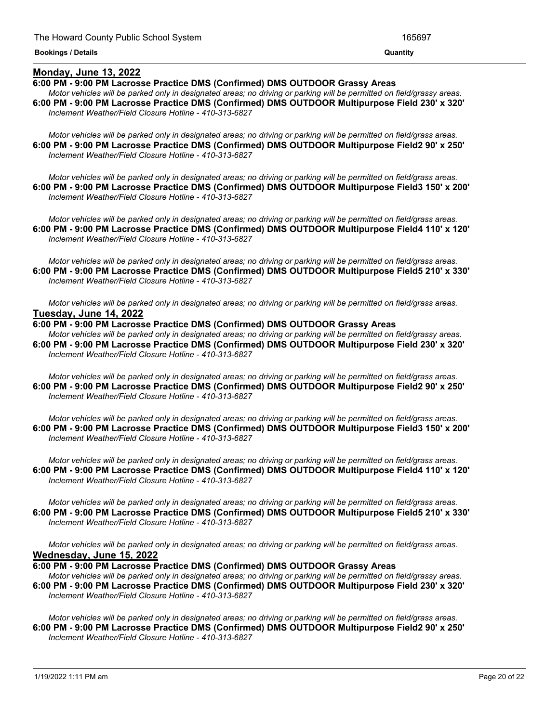## **Monday, June 13, 2022**

## **6:00 PM - 9:00 PM Lacrosse Practice DMS (Confirmed) DMS OUTDOOR Grassy Areas**

Motor vehicles will be parked only in designated areas; no driving or parking will be permitted on field/grassy areas. **6:00 PM - 9:00 PM Lacrosse Practice DMS (Confirmed) DMS OUTDOOR Multipurpose Field 230' x 320'** *Inclement Weather/Field Closure Hotline - 410-313-6827*

*Motor vehicles will be parked only in designated areas; no driving or parking will be permitted on field/grass areas.*

Motor vehicles will be parked only in designated areas; no driving or parking will be permitted on field/grass areas. **6:00 PM - 9:00 PM Lacrosse Practice DMS (Confirmed) DMS OUTDOOR Multipurpose Field2 90' x 250'** *Inclement Weather/Field Closure Hotline - 410-313-6827*

Motor vehicles will be parked only in designated areas; no driving or parking will be permitted on field/grass areas. **6:00 PM - 9:00 PM Lacrosse Practice DMS (Confirmed) DMS OUTDOOR Multipurpose Field3 150' x 200'** *Inclement Weather/Field Closure Hotline - 410-313-6827*

Motor vehicles will be parked only in designated areas; no driving or parking will be permitted on field/grass areas. **6:00 PM - 9:00 PM Lacrosse Practice DMS (Confirmed) DMS OUTDOOR Multipurpose Field4 110' x 120'** *Inclement Weather/Field Closure Hotline - 410-313-6827*

Motor vehicles will be parked only in designated areas; no driving or parking will be permitted on field/grass areas. **6:00 PM - 9:00 PM Lacrosse Practice DMS (Confirmed) DMS OUTDOOR Multipurpose Field5 210' x 330'** *Inclement Weather/Field Closure Hotline - 410-313-6827*

Motor vehicles will be parked only in designated areas; no driving or parking will be permitted on field/grass areas. **Tuesday, June 14, 2022**

#### **6:00 PM - 9:00 PM Lacrosse Practice DMS (Confirmed) DMS OUTDOOR Grassy Areas**

Motor vehicles will be parked only in designated areas; no driving or parking will be permitted on field/grassy areas. **6:00 PM - 9:00 PM Lacrosse Practice DMS (Confirmed) DMS OUTDOOR Multipurpose Field 230' x 320'** *Inclement Weather/Field Closure Hotline - 410-313-6827*

Motor vehicles will be parked only in designated areas; no driving or parking will be permitted on field/grass areas. **6:00 PM - 9:00 PM Lacrosse Practice DMS (Confirmed) DMS OUTDOOR Multipurpose Field2 90' x 250'** *Inclement Weather/Field Closure Hotline - 410-313-6827*

Motor vehicles will be parked only in designated areas; no driving or parking will be permitted on field/grass areas. **6:00 PM - 9:00 PM Lacrosse Practice DMS (Confirmed) DMS OUTDOOR Multipurpose Field3 150' x 200'** *Inclement Weather/Field Closure Hotline - 410-313-6827*

Motor vehicles will be parked only in designated areas; no driving or parking will be permitted on field/grass areas. **6:00 PM - 9:00 PM Lacrosse Practice DMS (Confirmed) DMS OUTDOOR Multipurpose Field4 110' x 120'** *Inclement Weather/Field Closure Hotline - 410-313-6827*

Motor vehicles will be parked only in designated areas; no driving or parking will be permitted on field/grass areas. **6:00 PM - 9:00 PM Lacrosse Practice DMS (Confirmed) DMS OUTDOOR Multipurpose Field5 210' x 330'** *Inclement Weather/Field Closure Hotline - 410-313-6827*

Motor vehicles will be parked only in designated areas; no driving or parking will be permitted on field/grass areas. **Wednesday, June 15, 2022**

**6:00 PM - 9:00 PM Lacrosse Practice DMS (Confirmed) DMS OUTDOOR Grassy Areas**

Motor vehicles will be parked only in designated areas; no driving or parking will be permitted on field/grassy areas. **6:00 PM - 9:00 PM Lacrosse Practice DMS (Confirmed) DMS OUTDOOR Multipurpose Field 230' x 320'** *Inclement Weather/Field Closure Hotline - 410-313-6827*

Motor vehicles will be parked only in designated areas; no driving or parking will be permitted on field/grass areas. **6:00 PM - 9:00 PM Lacrosse Practice DMS (Confirmed) DMS OUTDOOR Multipurpose Field2 90' x 250'** *Inclement Weather/Field Closure Hotline - 410-313-6827*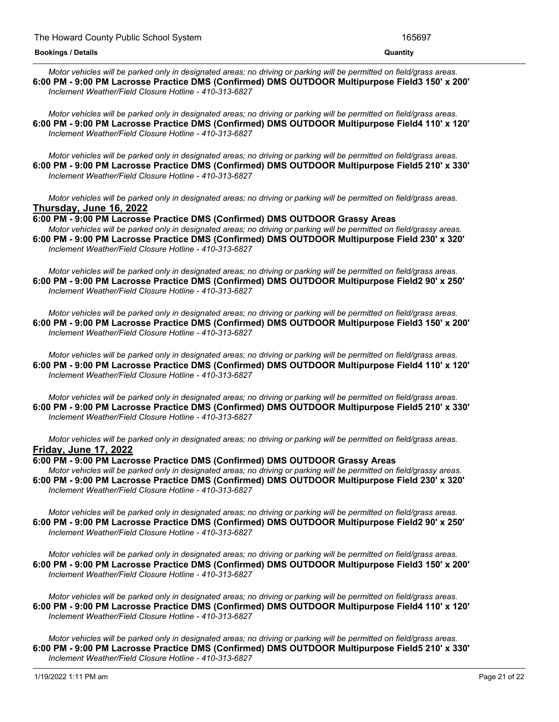Motor vehicles will be parked only in designated areas; no driving or parking will be permitted on field/grass areas. **6:00 PM - 9:00 PM Lacrosse Practice DMS (Confirmed) DMS OUTDOOR Multipurpose Field3 150' x 200'** *Inclement Weather/Field Closure Hotline - 410-313-6827*

Motor vehicles will be parked only in designated areas; no driving or parking will be permitted on field/grass areas. **6:00 PM - 9:00 PM Lacrosse Practice DMS (Confirmed) DMS OUTDOOR Multipurpose Field4 110' x 120'** *Inclement Weather/Field Closure Hotline - 410-313-6827*

Motor vehicles will be parked only in designated areas; no driving or parking will be permitted on field/grass areas. **6:00 PM - 9:00 PM Lacrosse Practice DMS (Confirmed) DMS OUTDOOR Multipurpose Field5 210' x 330'** *Inclement Weather/Field Closure Hotline - 410-313-6827*

Motor vehicles will be parked only in designated areas; no driving or parking will be permitted on field/grass areas. **Thursday, June 16, 2022**

**6:00 PM - 9:00 PM Lacrosse Practice DMS (Confirmed) DMS OUTDOOR Grassy Areas**

Motor vehicles will be parked only in designated areas; no driving or parking will be permitted on field/grassy areas. **6:00 PM - 9:00 PM Lacrosse Practice DMS (Confirmed) DMS OUTDOOR Multipurpose Field 230' x 320'** *Inclement Weather/Field Closure Hotline - 410-313-6827*

Motor vehicles will be parked only in designated areas; no driving or parking will be permitted on field/grass areas. **6:00 PM - 9:00 PM Lacrosse Practice DMS (Confirmed) DMS OUTDOOR Multipurpose Field2 90' x 250'** *Inclement Weather/Field Closure Hotline - 410-313-6827*

Motor vehicles will be parked only in designated areas; no driving or parking will be permitted on field/grass areas. **6:00 PM - 9:00 PM Lacrosse Practice DMS (Confirmed) DMS OUTDOOR Multipurpose Field3 150' x 200'** *Inclement Weather/Field Closure Hotline - 410-313-6827*

Motor vehicles will be parked only in designated areas; no driving or parking will be permitted on field/grass areas. **6:00 PM - 9:00 PM Lacrosse Practice DMS (Confirmed) DMS OUTDOOR Multipurpose Field4 110' x 120'** *Inclement Weather/Field Closure Hotline - 410-313-6827*

Motor vehicles will be parked only in designated areas; no driving or parking will be permitted on field/grass areas. **6:00 PM - 9:00 PM Lacrosse Practice DMS (Confirmed) DMS OUTDOOR Multipurpose Field5 210' x 330'** *Inclement Weather/Field Closure Hotline - 410-313-6827*

Motor vehicles will be parked only in designated areas; no driving or parking will be permitted on field/grass areas. **Friday, June 17, 2022**

**6:00 PM - 9:00 PM Lacrosse Practice DMS (Confirmed) DMS OUTDOOR Grassy Areas**

Motor vehicles will be parked only in designated areas; no driving or parking will be permitted on field/grassy areas. **6:00 PM - 9:00 PM Lacrosse Practice DMS (Confirmed) DMS OUTDOOR Multipurpose Field 230' x 320'** *Inclement Weather/Field Closure Hotline - 410-313-6827*

Motor vehicles will be parked only in designated areas; no driving or parking will be permitted on field/grass areas. **6:00 PM - 9:00 PM Lacrosse Practice DMS (Confirmed) DMS OUTDOOR Multipurpose Field2 90' x 250'** *Inclement Weather/Field Closure Hotline - 410-313-6827*

Motor vehicles will be parked only in designated areas; no driving or parking will be permitted on field/grass areas. **6:00 PM - 9:00 PM Lacrosse Practice DMS (Confirmed) DMS OUTDOOR Multipurpose Field3 150' x 200'** *Inclement Weather/Field Closure Hotline - 410-313-6827*

Motor vehicles will be parked only in designated areas; no driving or parking will be permitted on field/grass areas. **6:00 PM - 9:00 PM Lacrosse Practice DMS (Confirmed) DMS OUTDOOR Multipurpose Field4 110' x 120'** *Inclement Weather/Field Closure Hotline - 410-313-6827*

Motor vehicles will be parked only in designated areas; no driving or parking will be permitted on field/grass areas. **6:00 PM - 9:00 PM Lacrosse Practice DMS (Confirmed) DMS OUTDOOR Multipurpose Field5 210' x 330'** *Inclement Weather/Field Closure Hotline - 410-313-6827*